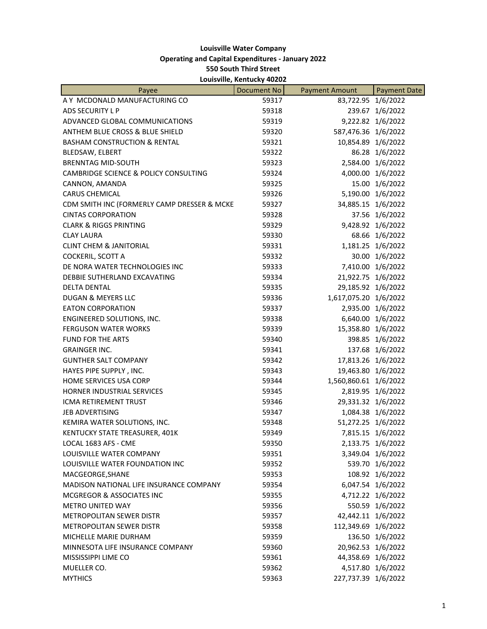## **Louisville Water Company Operating and Capital Expenditures ‐ January 2022 550 South Third Street Louisville, Kentucky 40202**

| Payee                                          | -ouisville, inclinuely foroz<br>Document No | <b>Payment Amount</b> | <b>Payment Date</b> |
|------------------------------------------------|---------------------------------------------|-----------------------|---------------------|
| A Y MCDONALD MANUFACTURING CO                  | 59317                                       | 83,722.95 1/6/2022    |                     |
| ADS SECURITY L P                               | 59318                                       |                       | 239.67 1/6/2022     |
| ADVANCED GLOBAL COMMUNICATIONS                 | 59319                                       |                       | 9,222.82 1/6/2022   |
| ANTHEM BLUE CROSS & BLUE SHIELD                | 59320                                       | 587,476.36 1/6/2022   |                     |
| <b>BASHAM CONSTRUCTION &amp; RENTAL</b>        | 59321                                       | 10,854.89 1/6/2022    |                     |
| BLEDSAW, ELBERT                                | 59322                                       |                       | 86.28 1/6/2022      |
| <b>BRENNTAG MID-SOUTH</b>                      | 59323                                       |                       | 2,584.00 1/6/2022   |
| CAMBRIDGE SCIENCE & POLICY CONSULTING          | 59324                                       |                       | 4,000.00 1/6/2022   |
|                                                |                                             |                       |                     |
| CANNON, AMANDA<br><b>CARUS CHEMICAL</b>        | 59325                                       |                       | 15.00 1/6/2022      |
|                                                | 59326                                       |                       | 5,190.00 1/6/2022   |
| CDM SMITH INC (FORMERLY CAMP DRESSER & MCKE    | 59327                                       | 34,885.15 1/6/2022    |                     |
| <b>CINTAS CORPORATION</b>                      | 59328                                       |                       | 37.56 1/6/2022      |
| <b>CLARK &amp; RIGGS PRINTING</b>              | 59329                                       |                       | 9,428.92 1/6/2022   |
| <b>CLAY LAURA</b>                              | 59330                                       |                       | 68.66 1/6/2022      |
| <b>CLINT CHEM &amp; JANITORIAL</b>             | 59331                                       |                       | 1,181.25 1/6/2022   |
| COCKERIL, SCOTT A                              | 59332                                       |                       | 30.00 1/6/2022      |
| DE NORA WATER TECHNOLOGIES INC                 | 59333                                       |                       | 7,410.00 1/6/2022   |
| DEBBIE SUTHERLAND EXCAVATING                   | 59334                                       | 21,922.75 1/6/2022    |                     |
| <b>DELTA DENTAL</b>                            | 59335                                       | 29,185.92 1/6/2022    |                     |
| DUGAN & MEYERS LLC                             | 59336                                       | 1,617,075.20 1/6/2022 |                     |
| <b>EATON CORPORATION</b>                       | 59337                                       |                       | 2,935.00 1/6/2022   |
| ENGINEERED SOLUTIONS, INC.                     | 59338                                       |                       | 6,640.00 1/6/2022   |
| <b>FERGUSON WATER WORKS</b>                    | 59339                                       | 15,358.80 1/6/2022    |                     |
| <b>FUND FOR THE ARTS</b>                       | 59340                                       |                       | 398.85 1/6/2022     |
| <b>GRAINGER INC.</b>                           | 59341                                       |                       | 137.68 1/6/2022     |
| <b>GUNTHER SALT COMPANY</b>                    | 59342                                       | 17,813.26 1/6/2022    |                     |
| HAYES PIPE SUPPLY, INC.                        | 59343                                       | 19,463.80 1/6/2022    |                     |
| HOME SERVICES USA CORP                         | 59344                                       | 1,560,860.61 1/6/2022 |                     |
| HORNER INDUSTRIAL SERVICES                     | 59345                                       |                       | 2,819.95 1/6/2022   |
| ICMA RETIREMENT TRUST                          | 59346                                       | 29,331.32 1/6/2022    |                     |
| <b>JEB ADVERTISING</b>                         | 59347                                       |                       | 1,084.38 1/6/2022   |
| KEMIRA WATER SOLUTIONS, INC.                   | 59348                                       | 51,272.25 1/6/2022    |                     |
| KENTUCKY STATE TREASURER, 401K                 | 59349                                       |                       | 7,815.15 1/6/2022   |
| LOCAL 1683 AFS - CME                           | 59350                                       |                       | 2,133.75 1/6/2022   |
| LOUISVILLE WATER COMPANY                       | 59351                                       |                       | 3,349.04 1/6/2022   |
| LOUISVILLE WATER FOUNDATION INC                | 59352                                       |                       | 539.70 1/6/2022     |
| MACGEORGE, SHANE                               | 59353                                       |                       | 108.92 1/6/2022     |
| <b>MADISON NATIONAL LIFE INSURANCE COMPANY</b> | 59354                                       |                       | 6,047.54 1/6/2022   |
| MCGREGOR & ASSOCIATES INC                      | 59355                                       |                       | 4,712.22 1/6/2022   |
| <b>METRO UNITED WAY</b>                        | 59356                                       |                       | 550.59 1/6/2022     |
| <b>METROPOLITAN SEWER DISTR</b>                | 59357                                       | 42,442.11 1/6/2022    |                     |
| METROPOLITAN SEWER DISTR                       | 59358                                       | 112,349.69 1/6/2022   |                     |
| MICHELLE MARIE DURHAM                          | 59359                                       |                       | 136.50 1/6/2022     |
| MINNESOTA LIFE INSURANCE COMPANY               | 59360                                       | 20,962.53 1/6/2022    |                     |
| MISSISSIPPI LIME CO                            | 59361                                       | 44,358.69 1/6/2022    |                     |
| MUELLER CO.                                    | 59362                                       |                       | 4,517.80 1/6/2022   |
| <b>MYTHICS</b>                                 | 59363                                       | 227,737.39 1/6/2022   |                     |
|                                                |                                             |                       |                     |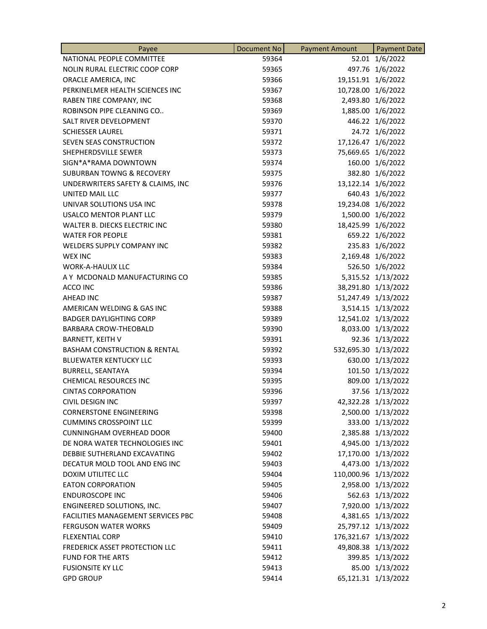| Payee                                   | Document No | <b>Payment Amount</b> | <b>Payment Date</b> |
|-----------------------------------------|-------------|-----------------------|---------------------|
| NATIONAL PEOPLE COMMITTEE               | 59364       | 52.01                 | 1/6/2022            |
| NOLIN RURAL ELECTRIC COOP CORP          | 59365       |                       | 497.76 1/6/2022     |
| ORACLE AMERICA, INC                     | 59366       | 19,151.91 1/6/2022    |                     |
| PERKINELMER HEALTH SCIENCES INC         | 59367       | 10,728.00 1/6/2022    |                     |
| RABEN TIRE COMPANY, INC                 | 59368       |                       | 2,493.80 1/6/2022   |
| ROBINSON PIPE CLEANING CO               | 59369       |                       | 1,885.00 1/6/2022   |
| SALT RIVER DEVELOPMENT                  | 59370       |                       | 446.22 1/6/2022     |
| <b>SCHIESSER LAUREL</b>                 | 59371       |                       | 24.72 1/6/2022      |
| SEVEN SEAS CONSTRUCTION                 | 59372       | 17,126.47 1/6/2022    |                     |
| SHEPHERDSVILLE SEWER                    | 59373       | 75,669.65 1/6/2022    |                     |
| SIGN*A*RAMA DOWNTOWN                    | 59374       |                       | 160.00 1/6/2022     |
| <b>SUBURBAN TOWNG &amp; RECOVERY</b>    | 59375       |                       | 382.80 1/6/2022     |
| UNDERWRITERS SAFETY & CLAIMS, INC       | 59376       | 13,122.14 1/6/2022    |                     |
| UNITED MAIL LLC                         | 59377       |                       | 640.43 1/6/2022     |
| UNIVAR SOLUTIONS USA INC                | 59378       | 19,234.08 1/6/2022    |                     |
| <b>USALCO MENTOR PLANT LLC</b>          | 59379       |                       | 1,500.00 1/6/2022   |
| WALTER B. DIECKS ELECTRIC INC           | 59380       | 18,425.99 1/6/2022    |                     |
| <b>WATER FOR PEOPLE</b>                 | 59381       |                       | 659.22 1/6/2022     |
| WELDERS SUPPLY COMPANY INC              | 59382       |                       | 235.83 1/6/2022     |
| <b>WEX INC</b>                          | 59383       |                       | 2,169.48 1/6/2022   |
| <b>WORK-A-HAULIX LLC</b>                | 59384       |                       | 526.50 1/6/2022     |
| A Y MCDONALD MANUFACTURING CO           | 59385       |                       | 5,315.52 1/13/2022  |
| ACCO INC                                | 59386       |                       | 38,291.80 1/13/2022 |
| <b>AHEAD INC</b>                        | 59387       |                       | 51,247.49 1/13/2022 |
| AMERICAN WELDING & GAS INC              | 59388       |                       | 3,514.15 1/13/2022  |
| <b>BADGER DAYLIGHTING CORP</b>          | 59389       |                       | 12,541.02 1/13/2022 |
| <b>BARBARA CROW-THEOBALD</b>            | 59390       |                       | 8,033.00 1/13/2022  |
| <b>BARNETT, KEITH V</b>                 | 59391       |                       | 92.36 1/13/2022     |
| <b>BASHAM CONSTRUCTION &amp; RENTAL</b> | 59392       | 532,695.30 1/13/2022  |                     |
| <b>BLUEWATER KENTUCKY LLC</b>           | 59393       |                       | 630.00 1/13/2022    |
| <b>BURRELL, SEANTAYA</b>                | 59394       |                       | 101.50 1/13/2022    |
| <b>CHEMICAL RESOURCES INC</b>           | 59395       |                       | 809.00 1/13/2022    |
| <b>CINTAS CORPORATION</b>               | 59396       |                       | 37.56 1/13/2022     |
| CIVIL DESIGN INC                        | 59397       |                       | 42,322.28 1/13/2022 |
| <b>CORNERSTONE ENGINEERING</b>          | 59398       |                       | 2,500.00 1/13/2022  |
| <b>CUMMINS CROSSPOINT LLC</b>           | 59399       |                       | 333.00 1/13/2022    |
| <b>CUNNINGHAM OVERHEAD DOOR</b>         | 59400       |                       | 2,385.88 1/13/2022  |
| DE NORA WATER TECHNOLOGIES INC          | 59401       |                       | 4,945.00 1/13/2022  |
| DEBBIE SUTHERLAND EXCAVATING            | 59402       |                       | 17,170.00 1/13/2022 |
| DECATUR MOLD TOOL AND ENG INC           | 59403       |                       | 4,473.00 1/13/2022  |
| <b>DOXIM UTILITEC LLC</b>               | 59404       | 110,000.96 1/13/2022  |                     |
| <b>EATON CORPORATION</b>                | 59405       |                       | 2,958.00 1/13/2022  |
| <b>ENDUROSCOPE INC</b>                  | 59406       |                       | 562.63 1/13/2022    |
| ENGINEERED SOLUTIONS, INC.              | 59407       |                       | 7,920.00 1/13/2022  |
| FACILITIES MANAGEMENT SERVICES PBC      | 59408       |                       | 4,381.65 1/13/2022  |
| <b>FERGUSON WATER WORKS</b>             | 59409       |                       | 25,797.12 1/13/2022 |
| <b>FLEXENTIAL CORP</b>                  | 59410       | 176,321.67 1/13/2022  |                     |
| FREDERICK ASSET PROTECTION LLC          | 59411       |                       | 49,808.38 1/13/2022 |
| <b>FUND FOR THE ARTS</b>                | 59412       |                       | 399.85 1/13/2022    |
| <b>FUSIONSITE KY LLC</b>                | 59413       |                       | 85.00 1/13/2022     |
| <b>GPD GROUP</b>                        | 59414       |                       | 65,121.31 1/13/2022 |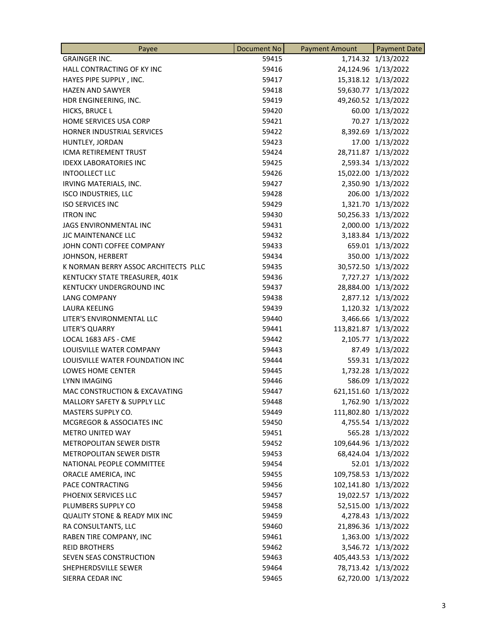| Payee                                    | Document No | <b>Payment Amount</b> | <b>Payment Date</b> |
|------------------------------------------|-------------|-----------------------|---------------------|
| <b>GRAINGER INC.</b>                     | 59415       |                       | 1,714.32 1/13/2022  |
| HALL CONTRACTING OF KY INC               | 59416       |                       | 24,124.96 1/13/2022 |
| HAYES PIPE SUPPLY, INC.                  | 59417       |                       | 15,318.12 1/13/2022 |
| <b>HAZEN AND SAWYER</b>                  | 59418       |                       | 59,630.77 1/13/2022 |
| HDR ENGINEERING, INC.                    | 59419       |                       | 49,260.52 1/13/2022 |
| HICKS, BRUCE L                           | 59420       |                       | 60.00 1/13/2022     |
| HOME SERVICES USA CORP                   | 59421       | 70.27                 | 1/13/2022           |
| HORNER INDUSTRIAL SERVICES               | 59422       |                       | 8,392.69 1/13/2022  |
| HUNTLEY, JORDAN                          | 59423       |                       | 17.00 1/13/2022     |
| <b>ICMA RETIREMENT TRUST</b>             | 59424       |                       | 28,711.87 1/13/2022 |
| <b>IDEXX LABORATORIES INC</b>            | 59425       |                       | 2,593.34 1/13/2022  |
| <b>INTOOLLECT LLC</b>                    | 59426       |                       | 15,022.00 1/13/2022 |
| IRVING MATERIALS, INC.                   | 59427       |                       | 2,350.90 1/13/2022  |
| <b>ISCO INDUSTRIES, LLC</b>              | 59428       |                       | 206.00 1/13/2022    |
| <b>ISO SERVICES INC</b>                  | 59429       |                       | 1,321.70 1/13/2022  |
| <b>ITRON INC</b>                         | 59430       |                       | 50,256.33 1/13/2022 |
| JAGS ENVIRONMENTAL INC                   | 59431       |                       | 2,000.00 1/13/2022  |
| <b>JJC MAINTENANCE LLC</b>               | 59432       |                       | 3,183.84 1/13/2022  |
| JOHN CONTI COFFEE COMPANY                | 59433       |                       | 659.01 1/13/2022    |
| JOHNSON, HERBERT                         | 59434       |                       | 350.00 1/13/2022    |
| K NORMAN BERRY ASSOC ARCHITECTS PLLC     | 59435       |                       | 30,572.50 1/13/2022 |
| KENTUCKY STATE TREASURER, 401K           | 59436       |                       | 7,727.27 1/13/2022  |
| KENTUCKY UNDERGROUND INC                 | 59437       |                       | 28,884.00 1/13/2022 |
| <b>LANG COMPANY</b>                      | 59438       |                       | 2,877.12 1/13/2022  |
| <b>LAURA KEELING</b>                     | 59439       |                       | 1,120.32 1/13/2022  |
| LITER'S ENVIRONMENTAL LLC                | 59440       |                       | 3,466.66 1/13/2022  |
| <b>LITER'S QUARRY</b>                    | 59441       | 113,821.87 1/13/2022  |                     |
| LOCAL 1683 AFS - CME                     | 59442       | 2,105.77              | 1/13/2022           |
| LOUISVILLE WATER COMPANY                 | 59443       |                       | 87.49 1/13/2022     |
| LOUISVILLE WATER FOUNDATION INC          | 59444       |                       | 559.31 1/13/2022    |
| LOWES HOME CENTER                        | 59445       |                       | 1,732.28 1/13/2022  |
| <b>LYNN IMAGING</b>                      | 59446       |                       | 586.09 1/13/2022    |
| MAC CONSTRUCTION & EXCAVATING            | 59447       | 621,151.60 1/13/2022  |                     |
| MALLORY SAFETY & SUPPLY LLC              | 59448       |                       | 1,762.90 1/13/2022  |
| <b>MASTERS SUPPLY CO.</b>                | 59449       | 111,802.80 1/13/2022  |                     |
| MCGREGOR & ASSOCIATES INC                | 59450       |                       | 4,755.54 1/13/2022  |
| <b>METRO UNITED WAY</b>                  | 59451       |                       | 565.28 1/13/2022    |
| <b>METROPOLITAN SEWER DISTR</b>          | 59452       | 109,644.96 1/13/2022  |                     |
| <b>METROPOLITAN SEWER DISTR</b>          | 59453       |                       | 68,424.04 1/13/2022 |
| NATIONAL PEOPLE COMMITTEE                | 59454       |                       | 52.01 1/13/2022     |
| ORACLE AMERICA, INC                      | 59455       | 109,758.53 1/13/2022  |                     |
| PACE CONTRACTING                         | 59456       | 102,141.80 1/13/2022  |                     |
| PHOENIX SERVICES LLC                     | 59457       |                       | 19,022.57 1/13/2022 |
| PLUMBERS SUPPLY CO                       | 59458       |                       | 52,515.00 1/13/2022 |
| <b>QUALITY STONE &amp; READY MIX INC</b> | 59459       |                       | 4,278.43 1/13/2022  |
| RA CONSULTANTS, LLC                      | 59460       |                       | 21,896.36 1/13/2022 |
| RABEN TIRE COMPANY, INC                  | 59461       |                       | 1,363.00 1/13/2022  |
| <b>REID BROTHERS</b>                     | 59462       |                       | 3,546.72 1/13/2022  |
| SEVEN SEAS CONSTRUCTION                  | 59463       | 405,443.53 1/13/2022  |                     |
| SHEPHERDSVILLE SEWER                     | 59464       |                       | 78,713.42 1/13/2022 |
| SIERRA CEDAR INC                         | 59465       |                       | 62,720.00 1/13/2022 |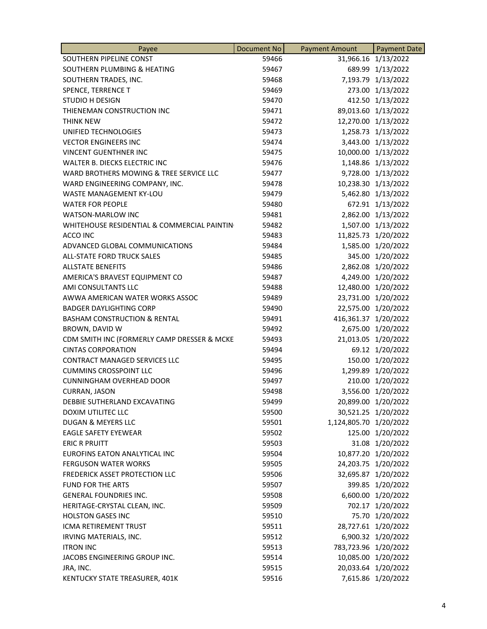| Payee                                       | Document No | <b>Payment Amount</b>  | <b>Payment Date</b> |
|---------------------------------------------|-------------|------------------------|---------------------|
| SOUTHERN PIPELINE CONST                     | 59466       |                        | 31,966.16 1/13/2022 |
| SOUTHERN PLUMBING & HEATING                 | 59467       |                        | 689.99 1/13/2022    |
| SOUTHERN TRADES, INC.                       | 59468       |                        | 7,193.79 1/13/2022  |
| SPENCE, TERRENCE T                          | 59469       |                        | 273.00 1/13/2022    |
| STUDIO H DESIGN                             | 59470       |                        | 412.50 1/13/2022    |
| THIENEMAN CONSTRUCTION INC                  | 59471       |                        | 89,013.60 1/13/2022 |
| THINK NEW                                   | 59472       |                        | 12,270.00 1/13/2022 |
| UNIFIED TECHNOLOGIES                        | 59473       |                        | 1,258.73 1/13/2022  |
| <b>VECTOR ENGINEERS INC</b>                 | 59474       |                        | 3,443.00 1/13/2022  |
| <b>VINCENT GUENTHNER INC</b>                | 59475       |                        | 10,000.00 1/13/2022 |
| WALTER B. DIECKS ELECTRIC INC               | 59476       |                        | 1,148.86 1/13/2022  |
| WARD BROTHERS MOWING & TREE SERVICE LLC     | 59477       |                        | 9,728.00 1/13/2022  |
| WARD ENGINEERING COMPANY, INC.              | 59478       |                        | 10,238.30 1/13/2022 |
| WASTE MANAGEMENT KY-LOU                     | 59479       |                        | 5,462.80 1/13/2022  |
| <b>WATER FOR PEOPLE</b>                     | 59480       |                        | 672.91 1/13/2022    |
| <b>WATSON-MARLOW INC</b>                    | 59481       |                        | 2,862.00 1/13/2022  |
| WHITEHOUSE RESIDENTIAL & COMMERCIAL PAINTIN | 59482       |                        | 1,507.00 1/13/2022  |
| ACCO INC                                    | 59483       | 11,825.73              | 1/20/2022           |
| ADVANCED GLOBAL COMMUNICATIONS              | 59484       |                        | 1,585.00 1/20/2022  |
| ALL-STATE FORD TRUCK SALES                  | 59485       |                        | 345.00 1/20/2022    |
| <b>ALLSTATE BENEFITS</b>                    | 59486       |                        | 2,862.08 1/20/2022  |
| AMERICA'S BRAVEST EQUIPMENT CO              | 59487       |                        | 4,249.00 1/20/2022  |
| AMI CONSULTANTS LLC                         | 59488       |                        | 12,480.00 1/20/2022 |
| AWWA AMERICAN WATER WORKS ASSOC             | 59489       |                        | 23,731.00 1/20/2022 |
| <b>BADGER DAYLIGHTING CORP</b>              | 59490       |                        | 22,575.00 1/20/2022 |
| <b>BASHAM CONSTRUCTION &amp; RENTAL</b>     | 59491       | 416,361.37 1/20/2022   |                     |
| BROWN, DAVID W                              | 59492       |                        | 2,675.00 1/20/2022  |
| CDM SMITH INC (FORMERLY CAMP DRESSER & MCKE | 59493       |                        | 21,013.05 1/20/2022 |
| <b>CINTAS CORPORATION</b>                   | 59494       |                        | 69.12 1/20/2022     |
| <b>CONTRACT MANAGED SERVICES LLC</b>        | 59495       |                        | 150.00 1/20/2022    |
| <b>CUMMINS CROSSPOINT LLC</b>               | 59496       |                        | 1,299.89 1/20/2022  |
| <b>CUNNINGHAM OVERHEAD DOOR</b>             | 59497       |                        | 210.00 1/20/2022    |
| <b>CURRAN, JASON</b>                        | 59498       |                        | 3,556.00 1/20/2022  |
| DEBBIE SUTHERLAND EXCAVATING                | 59499       |                        | 20,899.00 1/20/2022 |
| <b>DOXIM UTILITEC LLC</b>                   | 59500       |                        | 30,521.25 1/20/2022 |
| DUGAN & MEYERS LLC                          | 59501       | 1,124,805.70 1/20/2022 |                     |
| <b>EAGLE SAFETY EYEWEAR</b>                 | 59502       |                        | 125.00 1/20/2022    |
| <b>ERIC R PRUITT</b>                        | 59503       |                        | 31.08 1/20/2022     |
| EUROFINS EATON ANALYTICAL INC               | 59504       |                        | 10,877.20 1/20/2022 |
| <b>FERGUSON WATER WORKS</b>                 | 59505       |                        | 24,203.75 1/20/2022 |
| FREDERICK ASSET PROTECTION LLC              | 59506       |                        | 32,695.87 1/20/2022 |
| <b>FUND FOR THE ARTS</b>                    | 59507       |                        | 399.85 1/20/2022    |
| <b>GENERAL FOUNDRIES INC.</b>               | 59508       |                        | 6,600.00 1/20/2022  |
| HERITAGE-CRYSTAL CLEAN, INC.                | 59509       |                        | 702.17 1/20/2022    |
| <b>HOLSTON GASES INC</b>                    | 59510       |                        | 75.70 1/20/2022     |
| ICMA RETIREMENT TRUST                       | 59511       |                        | 28,727.61 1/20/2022 |
| IRVING MATERIALS, INC.                      | 59512       |                        | 6,900.32 1/20/2022  |
| <b>ITRON INC</b>                            | 59513       | 783,723.96 1/20/2022   |                     |
| JACOBS ENGINEERING GROUP INC.               | 59514       |                        | 10,085.00 1/20/2022 |
| JRA, INC.                                   | 59515       |                        | 20,033.64 1/20/2022 |
| KENTUCKY STATE TREASURER, 401K              | 59516       |                        | 7,615.86 1/20/2022  |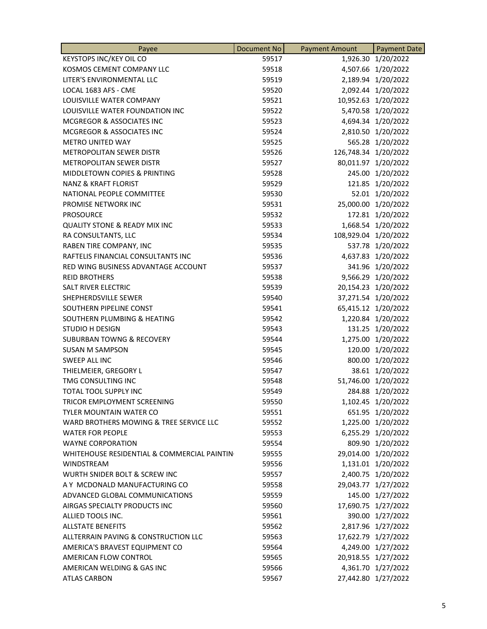| Payee                                       | <b>Document No</b> | <b>Payment Amount</b> | <b>Payment Date</b> |
|---------------------------------------------|--------------------|-----------------------|---------------------|
| <b>KEYSTOPS INC/KEY OIL CO</b>              | 59517              |                       | 1,926.30 1/20/2022  |
| KOSMOS CEMENT COMPANY LLC                   | 59518              |                       | 4,507.66 1/20/2022  |
| LITER'S ENVIRONMENTAL LLC                   | 59519              |                       | 2,189.94 1/20/2022  |
| LOCAL 1683 AFS - CME                        | 59520              |                       | 2,092.44 1/20/2022  |
| LOUISVILLE WATER COMPANY                    | 59521              |                       | 10,952.63 1/20/2022 |
| LOUISVILLE WATER FOUNDATION INC             | 59522              |                       | 5,470.58 1/20/2022  |
| MCGREGOR & ASSOCIATES INC                   | 59523              |                       | 4,694.34 1/20/2022  |
| MCGREGOR & ASSOCIATES INC                   | 59524              |                       | 2,810.50 1/20/2022  |
| <b>METRO UNITED WAY</b>                     | 59525              |                       | 565.28 1/20/2022    |
| <b>METROPOLITAN SEWER DISTR</b>             | 59526              | 126,748.34 1/20/2022  |                     |
| <b>METROPOLITAN SEWER DISTR</b>             | 59527              |                       | 80,011.97 1/20/2022 |
| MIDDLETOWN COPIES & PRINTING                | 59528              |                       | 245.00 1/20/2022    |
| <b>NANZ &amp; KRAFT FLORIST</b>             | 59529              |                       | 121.85 1/20/2022    |
| NATIONAL PEOPLE COMMITTEE                   | 59530              |                       | 52.01 1/20/2022     |
| PROMISE NETWORK INC                         | 59531              |                       | 25,000.00 1/20/2022 |
| <b>PROSOURCE</b>                            | 59532              |                       | 172.81 1/20/2022    |
| <b>QUALITY STONE &amp; READY MIX INC</b>    | 59533              | 1,668.54              | 1/20/2022           |
| RA CONSULTANTS, LLC                         | 59534              | 108,929.04 1/20/2022  |                     |
| RABEN TIRE COMPANY, INC                     | 59535              |                       | 537.78 1/20/2022    |
| RAFTELIS FINANCIAL CONSULTANTS INC          | 59536              |                       | 4,637.83 1/20/2022  |
| RED WING BUSINESS ADVANTAGE ACCOUNT         | 59537              |                       | 341.96 1/20/2022    |
| <b>REID BROTHERS</b>                        | 59538              |                       | 9,566.29 1/20/2022  |
| SALT RIVER ELECTRIC                         | 59539              |                       | 20,154.23 1/20/2022 |
| SHEPHERDSVILLE SEWER                        | 59540              |                       | 37,271.54 1/20/2022 |
| SOUTHERN PIPELINE CONST                     | 59541              |                       | 65,415.12 1/20/2022 |
| SOUTHERN PLUMBING & HEATING                 | 59542              |                       | 1,220.84 1/20/2022  |
| <b>STUDIO H DESIGN</b>                      | 59543              |                       | 131.25 1/20/2022    |
| <b>SUBURBAN TOWNG &amp; RECOVERY</b>        | 59544              |                       | 1,275.00 1/20/2022  |
| <b>SUSAN M SAMPSON</b>                      | 59545              |                       | 120.00 1/20/2022    |
| SWEEP ALL INC                               | 59546              |                       | 800.00 1/20/2022    |
| THIELMEIER, GREGORY L                       | 59547              |                       | 38.61 1/20/2022     |
| TMG CONSULTING INC                          | 59548              |                       | 51,746.00 1/20/2022 |
| TOTAL TOOL SUPPLY INC                       | 59549              |                       | 284.88 1/20/2022    |
| TRICOR EMPLOYMENT SCREENING                 | 59550              |                       | 1,102.45 1/20/2022  |
| <b>TYLER MOUNTAIN WATER CO</b>              | 59551              |                       | 651.95 1/20/2022    |
| WARD BROTHERS MOWING & TREE SERVICE LLC     | 59552              |                       | 1,225.00 1/20/2022  |
| <b>WATER FOR PEOPLE</b>                     | 59553              |                       | 6,255.29 1/20/2022  |
| <b>WAYNE CORPORATION</b>                    | 59554              |                       | 809.90 1/20/2022    |
| WHITEHOUSE RESIDENTIAL & COMMERCIAL PAINTIN | 59555              |                       | 29,014.00 1/20/2022 |
| <b>WINDSTREAM</b>                           | 59556              |                       | 1,131.01 1/20/2022  |
| WURTH SNIDER BOLT & SCREW INC               | 59557              |                       | 2,400.75 1/20/2022  |
| A Y MCDONALD MANUFACTURING CO               | 59558              |                       | 29,043.77 1/27/2022 |
| ADVANCED GLOBAL COMMUNICATIONS              | 59559              |                       | 145.00 1/27/2022    |
| AIRGAS SPECIALTY PRODUCTS INC               | 59560              |                       | 17,690.75 1/27/2022 |
| ALLIED TOOLS INC.                           | 59561              |                       | 390.00 1/27/2022    |
| <b>ALLSTATE BENEFITS</b>                    | 59562              |                       | 2,817.96 1/27/2022  |
| ALLTERRAIN PAVING & CONSTRUCTION LLC        | 59563              |                       | 17,622.79 1/27/2022 |
| AMERICA'S BRAVEST EQUIPMENT CO              | 59564              |                       | 4,249.00 1/27/2022  |
| AMERICAN FLOW CONTROL                       | 59565              |                       | 20,918.55 1/27/2022 |
| AMERICAN WELDING & GAS INC                  | 59566              |                       | 4,361.70 1/27/2022  |
| <b>ATLAS CARBON</b>                         | 59567              |                       | 27,442.80 1/27/2022 |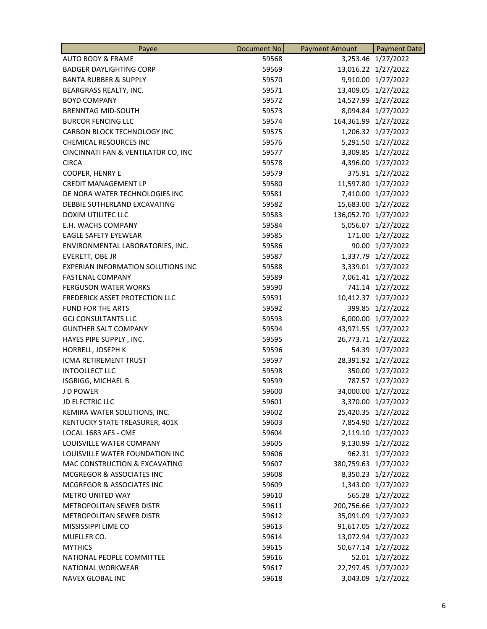| Payee                                     | Document No | <b>Payment Amount</b> | <b>Payment Date</b> |
|-------------------------------------------|-------------|-----------------------|---------------------|
| <b>AUTO BODY &amp; FRAME</b>              | 59568       |                       | 3,253.46 1/27/2022  |
| <b>BADGER DAYLIGHTING CORP</b>            | 59569       |                       | 13,016.22 1/27/2022 |
| <b>BANTA RUBBER &amp; SUPPLY</b>          | 59570       |                       | 9,910.00 1/27/2022  |
| BEARGRASS REALTY, INC.                    | 59571       |                       | 13,409.05 1/27/2022 |
| <b>BOYD COMPANY</b>                       | 59572       |                       | 14,527.99 1/27/2022 |
| <b>BRENNTAG MID-SOUTH</b>                 | 59573       |                       | 8,094.84 1/27/2022  |
| <b>BURCOR FENCING LLC</b>                 | 59574       | 164,361.99            | 1/27/2022           |
| CARBON BLOCK TECHNOLOGY INC               | 59575       |                       | 1,206.32 1/27/2022  |
| <b>CHEMICAL RESOURCES INC</b>             | 59576       |                       | 5,291.50 1/27/2022  |
| CINCINNATI FAN & VENTILATOR CO, INC       | 59577       |                       | 3,309.85 1/27/2022  |
| <b>CIRCA</b>                              | 59578       |                       | 4,396.00 1/27/2022  |
| <b>COOPER, HENRY E</b>                    | 59579       |                       | 375.91 1/27/2022    |
| <b>CREDIT MANAGEMENT LP</b>               | 59580       |                       | 11,597.80 1/27/2022 |
| DE NORA WATER TECHNOLOGIES INC            | 59581       |                       | 7,410.00 1/27/2022  |
| DEBBIE SUTHERLAND EXCAVATING              | 59582       |                       | 15,683.00 1/27/2022 |
| DOXIM UTILITEC LLC                        | 59583       | 136,052.70 1/27/2022  |                     |
| E.H. WACHS COMPANY                        | 59584       |                       | 5,056.07 1/27/2022  |
| <b>EAGLE SAFETY EYEWEAR</b>               | 59585       |                       | 171.00 1/27/2022    |
| ENVIRONMENTAL LABORATORIES, INC.          | 59586       |                       | 90.00 1/27/2022     |
| EVERETT, OBE JR                           | 59587       |                       | 1,337.79 1/27/2022  |
| <b>EXPERIAN INFORMATION SOLUTIONS INC</b> | 59588       |                       | 3,339.01 1/27/2022  |
| <b>FASTENAL COMPANY</b>                   | 59589       |                       | 7,061.41 1/27/2022  |
| <b>FERGUSON WATER WORKS</b>               | 59590       |                       | 741.14 1/27/2022    |
| FREDERICK ASSET PROTECTION LLC            | 59591       |                       | 10,412.37 1/27/2022 |
| <b>FUND FOR THE ARTS</b>                  | 59592       |                       | 399.85 1/27/2022    |
| <b>GCJ CONSULTANTS LLC</b>                | 59593       |                       | 6,000.00 1/27/2022  |
| <b>GUNTHER SALT COMPANY</b>               | 59594       |                       | 43,971.55 1/27/2022 |
| HAYES PIPE SUPPLY, INC.                   | 59595       |                       | 26,773.71 1/27/2022 |
| HORRELL, JOSEPH K                         | 59596       |                       | 54.39 1/27/2022     |
| ICMA RETIREMENT TRUST                     | 59597       |                       | 28,391.92 1/27/2022 |
| <b>INTOOLLECT LLC</b>                     | 59598       |                       | 350.00 1/27/2022    |
| ISGRIGG, MICHAEL B                        | 59599       |                       | 787.57 1/27/2022    |
| J D POWER                                 | 59600       |                       | 34,000.00 1/27/2022 |
| JD ELECTRIC LLC                           | 59601       |                       | 3,370.00 1/27/2022  |
| KEMIRA WATER SOLUTIONS, INC.              | 59602       |                       | 25,420.35 1/27/2022 |
| KENTUCKY STATE TREASURER, 401K            | 59603       |                       | 7,854.90 1/27/2022  |
| LOCAL 1683 AFS - CME                      | 59604       |                       | 2,119.10 1/27/2022  |
| LOUISVILLE WATER COMPANY                  | 59605       |                       | 9,130.99 1/27/2022  |
| LOUISVILLE WATER FOUNDATION INC           | 59606       |                       | 962.31 1/27/2022    |
| MAC CONSTRUCTION & EXCAVATING             | 59607       | 380,759.63 1/27/2022  |                     |
| MCGREGOR & ASSOCIATES INC                 | 59608       |                       | 8,350.23 1/27/2022  |
| MCGREGOR & ASSOCIATES INC                 | 59609       |                       | 1,343.00 1/27/2022  |
| <b>METRO UNITED WAY</b>                   | 59610       |                       | 565.28 1/27/2022    |
| METROPOLITAN SEWER DISTR                  | 59611       | 200,756.66 1/27/2022  |                     |
| <b>METROPOLITAN SEWER DISTR</b>           | 59612       |                       | 35,091.09 1/27/2022 |
| MISSISSIPPI LIME CO                       | 59613       |                       | 91,617.05 1/27/2022 |
| MUELLER CO.                               | 59614       |                       | 13,072.94 1/27/2022 |
| <b>MYTHICS</b>                            | 59615       |                       | 50,677.14 1/27/2022 |
| NATIONAL PEOPLE COMMITTEE                 | 59616       |                       | 52.01 1/27/2022     |
| NATIONAL WORKWEAR                         | 59617       |                       | 22,797.45 1/27/2022 |
| NAVEX GLOBAL INC                          | 59618       |                       | 3,043.09 1/27/2022  |
|                                           |             |                       |                     |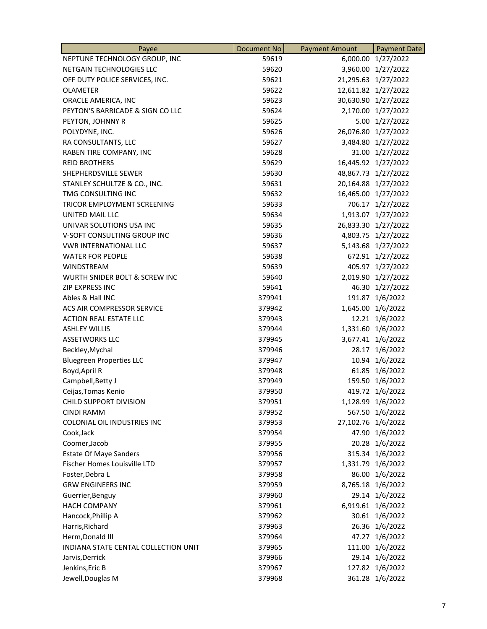| Payee                                | <b>Document No</b> | <b>Payment Amount</b> | <b>Payment Date</b> |
|--------------------------------------|--------------------|-----------------------|---------------------|
| NEPTUNE TECHNOLOGY GROUP, INC        | 59619              | 6,000.00              | 1/27/2022           |
| NETGAIN TECHNOLOGIES LLC             | 59620              |                       | 3,960.00 1/27/2022  |
| OFF DUTY POLICE SERVICES, INC.       | 59621              |                       | 21,295.63 1/27/2022 |
| <b>OLAMETER</b>                      | 59622              |                       | 12,611.82 1/27/2022 |
| ORACLE AMERICA, INC                  | 59623              |                       | 30,630.90 1/27/2022 |
| PEYTON'S BARRICADE & SIGN CO LLC     | 59624              |                       | 2,170.00 1/27/2022  |
| PEYTON, JOHNNY R                     | 59625              |                       | 5.00 1/27/2022      |
| POLYDYNE, INC.                       | 59626              |                       | 26,076.80 1/27/2022 |
| RA CONSULTANTS, LLC                  | 59627              |                       | 3,484.80 1/27/2022  |
| RABEN TIRE COMPANY, INC              | 59628              |                       | 31.00 1/27/2022     |
| <b>REID BROTHERS</b>                 | 59629              |                       | 16,445.92 1/27/2022 |
| SHEPHERDSVILLE SEWER                 | 59630              |                       | 48,867.73 1/27/2022 |
| STANLEY SCHULTZE & CO., INC.         | 59631              |                       | 20,164.88 1/27/2022 |
| TMG CONSULTING INC                   | 59632              |                       | 16,465.00 1/27/2022 |
| TRICOR EMPLOYMENT SCREENING          | 59633              |                       | 706.17 1/27/2022    |
| UNITED MAIL LLC                      | 59634              |                       | 1,913.07 1/27/2022  |
| UNIVAR SOLUTIONS USA INC             | 59635              |                       | 26,833.30 1/27/2022 |
| V-SOFT CONSULTING GROUP INC          | 59636              | 4,803.75              | 1/27/2022           |
| <b>VWR INTERNATIONAL LLC</b>         | 59637              |                       | 5,143.68 1/27/2022  |
| <b>WATER FOR PEOPLE</b>              | 59638              |                       | 672.91 1/27/2022    |
| WINDSTREAM                           | 59639              |                       | 405.97 1/27/2022    |
| WURTH SNIDER BOLT & SCREW INC        | 59640              |                       | 2,019.90 1/27/2022  |
| <b>ZIP EXPRESS INC</b>               | 59641              |                       | 46.30 1/27/2022     |
| Ables & Hall INC                     | 379941             | 191.87                | 1/6/2022            |
| ACS AIR COMPRESSOR SERVICE           | 379942             |                       | 1,645.00 1/6/2022   |
| <b>ACTION REAL ESTATE LLC</b>        | 379943             |                       | 12.21 1/6/2022      |
| <b>ASHLEY WILLIS</b>                 | 379944             |                       | 1,331.60 1/6/2022   |
| <b>ASSETWORKS LLC</b>                | 379945             |                       | 3,677.41 1/6/2022   |
| Beckley, Mychal                      | 379946             |                       | 28.17 1/6/2022      |
| <b>Bluegreen Properties LLC</b>      | 379947             |                       | 10.94 1/6/2022      |
| Boyd, April R                        | 379948             |                       | 61.85 1/6/2022      |
| Campbell, Betty J                    | 379949             |                       | 159.50 1/6/2022     |
| Ceijas, Tomas Kenio                  | 379950             |                       | 419.72 1/6/2022     |
| CHILD SUPPORT DIVISION               | 379951             |                       | 1,128.99 1/6/2022   |
| <b>CINDI RAMM</b>                    | 379952             |                       | 567.50 1/6/2022     |
| COLONIAL OIL INDUSTRIES INC          | 379953             | 27,102.76 1/6/2022    |                     |
| Cook, Jack                           | 379954             |                       | 47.90 1/6/2022      |
| Coomer, Jacob                        | 379955             |                       | 20.28 1/6/2022      |
| <b>Estate Of Maye Sanders</b>        | 379956             |                       | 315.34 1/6/2022     |
| Fischer Homes Louisville LTD         | 379957             |                       | 1,331.79 1/6/2022   |
| Foster, Debra L                      | 379958             |                       | 86.00 1/6/2022      |
| <b>GRW ENGINEERS INC</b>             | 379959             |                       | 8,765.18 1/6/2022   |
| Guerrier, Benguy                     | 379960             |                       | 29.14 1/6/2022      |
| <b>HACH COMPANY</b>                  | 379961             |                       | 6,919.61 1/6/2022   |
| Hancock, Phillip A                   | 379962             |                       | 30.61 1/6/2022      |
| Harris, Richard                      | 379963             |                       | 26.36 1/6/2022      |
| Herm, Donald III                     | 379964             | 47.27                 | 1/6/2022            |
| INDIANA STATE CENTAL COLLECTION UNIT | 379965             |                       | 111.00 1/6/2022     |
| Jarvis, Derrick                      | 379966             |                       | 29.14 1/6/2022      |
| Jenkins, Eric B                      | 379967             |                       | 127.82 1/6/2022     |
| Jewell, Douglas M                    | 379968             |                       | 361.28 1/6/2022     |
|                                      |                    |                       |                     |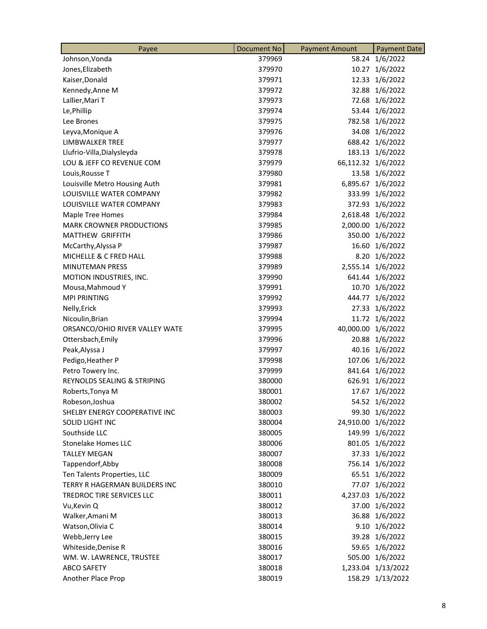| Payee                                | <b>Document No</b> | <b>Payment Amount</b> | <b>Payment Date</b> |
|--------------------------------------|--------------------|-----------------------|---------------------|
| Johnson, Vonda                       | 379969             | 58.24                 | 1/6/2022            |
| Jones, Elizabeth                     | 379970             | 10.27                 | 1/6/2022            |
| Kaiser, Donald                       | 379971             |                       | 12.33 1/6/2022      |
| Kennedy, Anne M                      | 379972             |                       | 32.88 1/6/2022      |
| Lallier, Mari T                      | 379973             |                       | 72.68 1/6/2022      |
| Le, Phillip                          | 379974             |                       | 53.44 1/6/2022      |
| Lee Brones                           | 379975             |                       | 782.58 1/6/2022     |
| Leyva, Monique A                     | 379976             |                       | 34.08 1/6/2022      |
| LIMBWALKER TREE                      | 379977             |                       | 688.42 1/6/2022     |
| Llufrio-Villa, Dialysleyda           | 379978             |                       | 183.13 1/6/2022     |
| LOU & JEFF CO REVENUE COM            | 379979             | 66,112.32 1/6/2022    |                     |
| Louis, Rousse T                      | 379980             |                       | 13.58 1/6/2022      |
| Louisville Metro Housing Auth        | 379981             |                       | 6,895.67 1/6/2022   |
| LOUISVILLE WATER COMPANY             | 379982             |                       | 333.99 1/6/2022     |
| LOUISVILLE WATER COMPANY             | 379983             |                       | 372.93 1/6/2022     |
| Maple Tree Homes                     | 379984             |                       | 2,618.48 1/6/2022   |
| <b>MARK CROWNER PRODUCTIONS</b>      | 379985             | 2,000.00              | 1/6/2022            |
| <b>MATTHEW GRIFFITH</b>              | 379986             | 350.00                | 1/6/2022            |
| McCarthy, Alyssa P                   | 379987             |                       | 16.60 1/6/2022      |
| MICHELLE & C FRED HALL               | 379988             |                       | 8.20 1/6/2022       |
| <b>MINUTEMAN PRESS</b>               | 379989             |                       | 2,555.14 1/6/2022   |
| MOTION INDUSTRIES, INC.              | 379990             |                       | 641.44 1/6/2022     |
| Mousa, Mahmoud Y                     | 379991             |                       | 10.70 1/6/2022      |
| <b>MPI PRINTING</b>                  | 379992             |                       | 444.77 1/6/2022     |
| Nelly, Erick                         | 379993             |                       | 27.33 1/6/2022      |
| Nicoulin, Brian                      | 379994             |                       | 11.72 1/6/2022      |
| ORSANCO/OHIO RIVER VALLEY WATE       | 379995             | 40,000.00 1/6/2022    |                     |
| Ottersbach, Emily                    | 379996             |                       | 20.88 1/6/2022      |
| Peak, Alyssa J                       | 379997             |                       | 40.16 1/6/2022      |
| Pedigo, Heather P                    | 379998             |                       | 107.06 1/6/2022     |
| Petro Towery Inc.                    | 379999             |                       | 841.64 1/6/2022     |
| REYNOLDS SEALING & STRIPING          | 380000             |                       | 626.91 1/6/2022     |
| Roberts, Tonya M                     | 380001             |                       | 17.67 1/6/2022      |
| Robeson, Joshua                      | 380002             |                       | 54.52 1/6/2022      |
| SHELBY ENERGY COOPERATIVE INC        | 380003             |                       | 99.30 1/6/2022      |
| SOLID LIGHT INC                      | 380004             | 24,910.00 1/6/2022    |                     |
| Southside LLC                        | 380005             |                       | 149.99 1/6/2022     |
| <b>Stonelake Homes LLC</b>           | 380006             |                       | 801.05 1/6/2022     |
| <b>TALLEY MEGAN</b>                  | 380007             |                       | 37.33 1/6/2022      |
| Tappendorf, Abby                     | 380008             |                       | 756.14 1/6/2022     |
| Ten Talents Properties, LLC          | 380009             |                       | 65.51 1/6/2022      |
| <b>TERRY R HAGERMAN BUILDERS INC</b> | 380010             |                       | 77.07 1/6/2022      |
| TREDROC TIRE SERVICES LLC            | 380011             |                       | 4,237.03 1/6/2022   |
| Vu, Kevin Q                          | 380012             |                       | 37.00 1/6/2022      |
| Walker, Amani M                      | 380013             |                       | 36.88 1/6/2022      |
| Watson, Olivia C                     | 380014             |                       | 9.10 1/6/2022       |
| Webb, Jerry Lee                      | 380015             |                       | 39.28 1/6/2022      |
| Whiteside, Denise R                  | 380016             |                       | 59.65 1/6/2022      |
| WM. W. LAWRENCE, TRUSTEE             | 380017             |                       | 505.00 1/6/2022     |
| <b>ABCO SAFETY</b>                   | 380018             |                       | 1,233.04 1/13/2022  |
| Another Place Prop                   | 380019             |                       | 158.29 1/13/2022    |
|                                      |                    |                       |                     |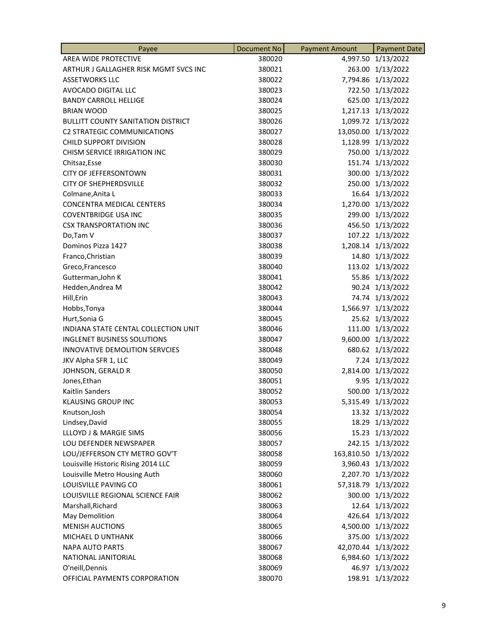| Payee                                     | Document No | <b>Payment Amount</b> | <b>Payment Date</b> |
|-------------------------------------------|-------------|-----------------------|---------------------|
| AREA WIDE PROTECTIVE                      | 380020      | 4,997.50              | 1/13/2022           |
| ARTHUR J GALLAGHER RISK MGMT SVCS INC     | 380021      |                       | 263.00 1/13/2022    |
| <b>ASSETWORKS LLC</b>                     | 380022      |                       | 7,794.86 1/13/2022  |
| AVOCADO DIGITAL LLC                       | 380023      |                       | 722.50 1/13/2022    |
| <b>BANDY CARROLL HELLIGE</b>              | 380024      |                       | 625.00 1/13/2022    |
| <b>BRIAN WOOD</b>                         | 380025      |                       | 1,217.13 1/13/2022  |
| <b>BULLITT COUNTY SANITATION DISTRICT</b> | 380026      |                       | 1,099.72 1/13/2022  |
| <b>C2 STRATEGIC COMMUNICATIONS</b>        | 380027      |                       | 13,050.00 1/13/2022 |
| <b>CHILD SUPPORT DIVISION</b>             | 380028      |                       | 1,128.99 1/13/2022  |
| CHISM SERVICE IRRIGATION INC              | 380029      |                       | 750.00 1/13/2022    |
| Chitsaz, Esse                             | 380030      |                       | 151.74 1/13/2022    |
| <b>CITY OF JEFFERSONTOWN</b>              | 380031      |                       | 300.00 1/13/2022    |
| <b>CITY OF SHEPHERDSVILLE</b>             | 380032      |                       | 250.00 1/13/2022    |
| Colmane, Anita L                          | 380033      |                       | 16.64 1/13/2022     |
| <b>CONCENTRA MEDICAL CENTERS</b>          | 380034      |                       | 1,270.00 1/13/2022  |
| <b>COVENTBRIDGE USA INC</b>               | 380035      |                       | 299.00 1/13/2022    |
| <b>CSX TRANSPORTATION INC</b>             | 380036      |                       | 456.50 1/13/2022    |
| Do,Tam V                                  | 380037      |                       | 107.22 1/13/2022    |
| Dominos Pizza 1427                        | 380038      |                       | 1,208.14 1/13/2022  |
| Franco, Christian                         | 380039      |                       | 14.80 1/13/2022     |
| Greco, Francesco                          | 380040      |                       | 113.02 1/13/2022    |
| Gutterman, John K                         | 380041      |                       | 55.86 1/13/2022     |
| Hedden, Andrea M                          | 380042      |                       | 90.24 1/13/2022     |
| Hill, Erin                                | 380043      |                       | 74.74 1/13/2022     |
| Hobbs, Tonya                              | 380044      |                       | 1,566.97 1/13/2022  |
| Hurt, Sonia G                             | 380045      |                       | 25.62 1/13/2022     |
| INDIANA STATE CENTAL COLLECTION UNIT      | 380046      |                       | 111.00 1/13/2022    |
| <b>INGLENET BUSINESS SOLUTIONS</b>        | 380047      |                       | 9,600.00 1/13/2022  |
| INNOVATIVE DEMOLITION SERVCIES            | 380048      |                       | 680.62 1/13/2022    |
| JKV Alpha SFR 1, LLC                      | 380049      |                       | 7.24 1/13/2022      |
| JOHNSON, GERALD R                         | 380050      |                       | 2,814.00 1/13/2022  |
| Jones, Ethan                              | 380051      |                       | 9.95 1/13/2022      |
| Kaitlin Sanders                           | 380052      |                       | 500.00 1/13/2022    |
| KLAUSING GROUP INC                        | 380053      |                       | 5,315.49 1/13/2022  |
| Knutson, Josh                             | 380054      |                       | 13.32 1/13/2022     |
| Lindsey, David                            | 380055      |                       | 18.29 1/13/2022     |
| LLLOYD J & MARGIE SIMS                    | 380056      |                       | 15.23 1/13/2022     |
| LOU DEFENDER NEWSPAPER                    | 380057      |                       | 242.15 1/13/2022    |
| LOU/JEFFERSON CTY METRO GOV'T             | 380058      | 163,810.50 1/13/2022  |                     |
| Louisville Historic Rising 2014 LLC       | 380059      |                       | 3,960.43 1/13/2022  |
| Louisville Metro Housing Auth             | 380060      |                       | 2,207.70 1/13/2022  |
| LOUISVILLE PAVING CO                      | 380061      |                       | 57,318.79 1/13/2022 |
| LOUISVILLE REGIONAL SCIENCE FAIR          | 380062      |                       | 300.00 1/13/2022    |
| Marshall, Richard                         | 380063      |                       | 12.64 1/13/2022     |
| May Demolition                            | 380064      |                       | 426.64 1/13/2022    |
| <b>MENISH AUCTIONS</b>                    | 380065      |                       | 4,500.00 1/13/2022  |
| MICHAEL D UNTHANK                         | 380066      |                       | 375.00 1/13/2022    |
| <b>NAPA AUTO PARTS</b>                    | 380067      |                       | 42,070.44 1/13/2022 |
| NATIONAL JANITORIAL                       | 380068      |                       | 6,984.60 1/13/2022  |
| O'neill, Dennis                           | 380069      |                       | 46.97 1/13/2022     |
| OFFICIAL PAYMENTS CORPORATION             | 380070      |                       | 198.91 1/13/2022    |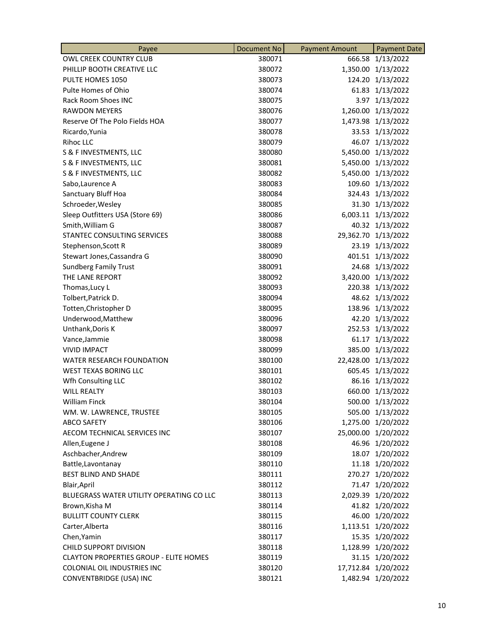| Payee                                         | Document No | <b>Payment Amount</b> | <b>Payment Date</b> |
|-----------------------------------------------|-------------|-----------------------|---------------------|
| OWL CREEK COUNTRY CLUB                        | 380071      | 666.58                | 1/13/2022           |
| PHILLIP BOOTH CREATIVE LLC                    | 380072      |                       | 1,350.00 1/13/2022  |
| PULTE HOMES 1050                              | 380073      |                       | 124.20 1/13/2022    |
| Pulte Homes of Ohio                           | 380074      |                       | 61.83 1/13/2022     |
| Rack Room Shoes INC                           | 380075      |                       | 3.97 1/13/2022      |
| <b>RAWDON MEYERS</b>                          | 380076      | 1,260.00              | 1/13/2022           |
| Reserve Of The Polo Fields HOA                | 380077      | 1,473.98              | 1/13/2022           |
| Ricardo, Yunia                                | 380078      |                       | 33.53 1/13/2022     |
| <b>Rihoc LLC</b>                              | 380079      |                       | 46.07 1/13/2022     |
| S & F INVESTMENTS, LLC                        | 380080      |                       | 5,450.00 1/13/2022  |
| S & F INVESTMENTS, LLC                        | 380081      |                       | 5,450.00 1/13/2022  |
| S & F INVESTMENTS, LLC                        | 380082      |                       | 5,450.00 1/13/2022  |
| Sabo, Laurence A                              | 380083      |                       | 109.60 1/13/2022    |
| Sanctuary Bluff Hoa                           | 380084      |                       | 324.43 1/13/2022    |
| Schroeder, Wesley                             | 380085      |                       | 31.30 1/13/2022     |
| Sleep Outfitters USA (Store 69)               | 380086      |                       | 6,003.11 1/13/2022  |
| Smith, William G                              | 380087      |                       | 40.32 1/13/2022     |
| <b>STANTEC CONSULTING SERVICES</b>            | 380088      |                       | 29,362.70 1/13/2022 |
| Stephenson, Scott R                           | 380089      |                       | 23.19 1/13/2022     |
| Stewart Jones, Cassandra G                    | 380090      |                       | 401.51 1/13/2022    |
| <b>Sundberg Family Trust</b>                  | 380091      |                       | 24.68 1/13/2022     |
| THE LANE REPORT                               | 380092      |                       | 3,420.00 1/13/2022  |
| Thomas, Lucy L                                | 380093      |                       | 220.38 1/13/2022    |
| Tolbert, Patrick D.                           | 380094      |                       | 48.62 1/13/2022     |
| Totten, Christopher D                         | 380095      |                       | 138.96 1/13/2022    |
| Underwood, Matthew                            | 380096      |                       | 42.20 1/13/2022     |
| Unthank, Doris K                              | 380097      |                       | 252.53 1/13/2022    |
| Vance, Jammie                                 | 380098      | 61.17                 | 1/13/2022           |
| <b>VIVID IMPACT</b>                           | 380099      |                       | 385.00 1/13/2022    |
| WATER RESEARCH FOUNDATION                     | 380100      |                       | 22,428.00 1/13/2022 |
| WEST TEXAS BORING LLC                         | 380101      |                       | 605.45 1/13/2022    |
| Wfh Consulting LLC                            | 380102      |                       | 86.16 1/13/2022     |
| <b>WILL REALTY</b>                            | 380103      |                       | 660.00 1/13/2022    |
| William Finck                                 | 380104      |                       | 500.00 1/13/2022    |
| WM. W. LAWRENCE, TRUSTEE                      | 380105      |                       | 505.00 1/13/2022    |
| <b>ABCO SAFETY</b>                            | 380106      |                       | 1,275.00 1/20/2022  |
| AECOM TECHNICAL SERVICES INC                  | 380107      |                       | 25,000.00 1/20/2022 |
| Allen, Eugene J                               | 380108      |                       | 46.96 1/20/2022     |
| Aschbacher, Andrew                            | 380109      |                       | 18.07 1/20/2022     |
| Battle, Lavontanay                            | 380110      |                       | 11.18 1/20/2022     |
| <b>BEST BLIND AND SHADE</b>                   | 380111      |                       | 270.27 1/20/2022    |
| Blair, April                                  | 380112      |                       | 71.47 1/20/2022     |
| BLUEGRASS WATER UTILITY OPERATING CO LLC      | 380113      |                       | 2,029.39 1/20/2022  |
| Brown, Kisha M                                | 380114      |                       | 41.82 1/20/2022     |
| <b>BULLITT COUNTY CLERK</b>                   | 380115      |                       | 46.00 1/20/2022     |
| Carter, Alberta                               | 380116      |                       | 1,113.51 1/20/2022  |
| Chen, Yamin                                   | 380117      |                       | 15.35 1/20/2022     |
| CHILD SUPPORT DIVISION                        | 380118      |                       | 1,128.99 1/20/2022  |
| <b>CLAYTON PROPERTIES GROUP - ELITE HOMES</b> | 380119      |                       | 31.15 1/20/2022     |
| COLONIAL OIL INDUSTRIES INC                   | 380120      |                       | 17,712.84 1/20/2022 |
| <b>CONVENTBRIDGE (USA) INC</b>                | 380121      |                       | 1,482.94 1/20/2022  |
|                                               |             |                       |                     |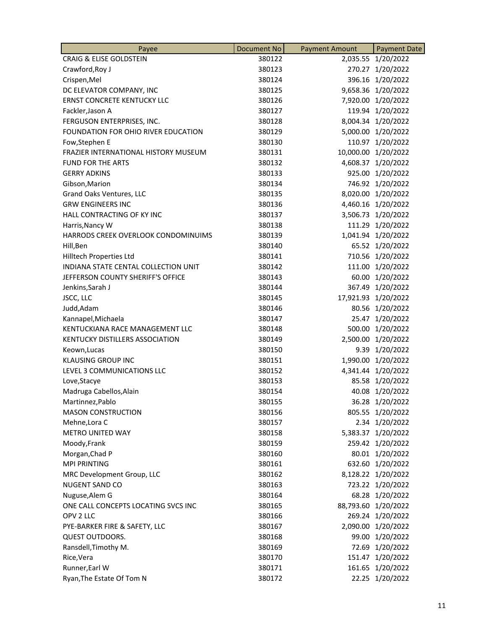| Payee                                | Document No | <b>Payment Amount</b> | <b>Payment Date</b> |
|--------------------------------------|-------------|-----------------------|---------------------|
| <b>CRAIG &amp; ELISE GOLDSTEIN</b>   | 380122      | 2,035.55              | 1/20/2022           |
| Crawford, Roy J                      | 380123      | 270.27                | 1/20/2022           |
| Crispen, Mel                         | 380124      |                       | 396.16 1/20/2022    |
| DC ELEVATOR COMPANY, INC             | 380125      |                       | 9,658.36 1/20/2022  |
| <b>ERNST CONCRETE KENTUCKY LLC</b>   | 380126      |                       | 7,920.00 1/20/2022  |
| Fackler, Jason A                     | 380127      |                       | 119.94 1/20/2022    |
| FERGUSON ENTERPRISES, INC.           | 380128      |                       | 8,004.34 1/20/2022  |
| FOUNDATION FOR OHIO RIVER EDUCATION  | 380129      |                       | 5,000.00 1/20/2022  |
| Fow, Stephen E                       | 380130      |                       | 110.97 1/20/2022    |
| FRAZIER INTERNATIONAL HISTORY MUSEUM | 380131      |                       | 10,000.00 1/20/2022 |
| <b>FUND FOR THE ARTS</b>             | 380132      |                       | 4,608.37 1/20/2022  |
| <b>GERRY ADKINS</b>                  | 380133      |                       | 925.00 1/20/2022    |
| Gibson, Marion                       | 380134      |                       | 746.92 1/20/2022    |
| Grand Oaks Ventures, LLC             | 380135      |                       | 8,020.00 1/20/2022  |
| <b>GRW ENGINEERS INC</b>             | 380136      |                       | 4,460.16 1/20/2022  |
| HALL CONTRACTING OF KY INC           | 380137      |                       | 3,506.73 1/20/2022  |
| Harris, Nancy W                      | 380138      |                       | 111.29 1/20/2022    |
| HARRODS CREEK OVERLOOK CONDOMINUIMS  | 380139      |                       | 1,041.94 1/20/2022  |
| Hill, Ben                            | 380140      |                       | 65.52 1/20/2022     |
| Hilltech Properties Ltd              | 380141      |                       | 710.56 1/20/2022    |
| INDIANA STATE CENTAL COLLECTION UNIT | 380142      |                       | 111.00 1/20/2022    |
| JEFFERSON COUNTY SHERIFF'S OFFICE    | 380143      |                       | 60.00 1/20/2022     |
| Jenkins, Sarah J                     | 380144      | 367.49                | 1/20/2022           |
| JSCC, LLC                            | 380145      | 17,921.93             | 1/20/2022           |
| Judd, Adam                           | 380146      |                       | 80.56 1/20/2022     |
| Kannapel, Michaela                   | 380147      |                       | 25.47 1/20/2022     |
| KENTUCKIANA RACE MANAGEMENT LLC      | 380148      |                       | 500.00 1/20/2022    |
| KENTUCKY DISTILLERS ASSOCIATION      | 380149      |                       | 2,500.00 1/20/2022  |
| Keown, Lucas                         | 380150      | 9.39                  | 1/20/2022           |
| <b>KLAUSING GROUP INC</b>            | 380151      |                       | 1,990.00 1/20/2022  |
| LEVEL 3 COMMUNICATIONS LLC           | 380152      |                       | 4,341.44 1/20/2022  |
| Love, Stacye                         | 380153      |                       | 85.58 1/20/2022     |
| Madruga Cabellos, Alain              | 380154      |                       | 40.08 1/20/2022     |
| Martinnez, Pablo                     | 380155      |                       | 36.28 1/20/2022     |
| <b>MASON CONSTRUCTION</b>            | 380156      |                       | 805.55 1/20/2022    |
| Mehne, Lora C                        | 380157      |                       | 2.34 1/20/2022      |
| METRO UNITED WAY                     | 380158      |                       | 5,383.37 1/20/2022  |
| Moody, Frank                         | 380159      |                       | 259.42 1/20/2022    |
| Morgan, Chad P                       | 380160      |                       | 80.01 1/20/2022     |
| <b>MPI PRINTING</b>                  | 380161      |                       | 632.60 1/20/2022    |
| MRC Development Group, LLC           | 380162      |                       | 8,128.22 1/20/2022  |
| <b>NUGENT SAND CO</b>                | 380163      |                       | 723.22 1/20/2022    |
| Nuguse, Alem G                       | 380164      |                       | 68.28 1/20/2022     |
| ONE CALL CONCEPTS LOCATING SVCS INC  | 380165      |                       | 88,793.60 1/20/2022 |
| OPV 2 LLC                            | 380166      |                       | 269.24 1/20/2022    |
| PYE-BARKER FIRE & SAFETY, LLC        | 380167      |                       | 2,090.00 1/20/2022  |
| QUEST OUTDOORS.                      | 380168      |                       | 99.00 1/20/2022     |
| Ransdell, Timothy M.                 | 380169      |                       | 72.69 1/20/2022     |
| Rice, Vera                           | 380170      |                       | 151.47 1/20/2022    |
| Runner, Earl W                       | 380171      |                       | 161.65 1/20/2022    |
| Ryan, The Estate Of Tom N            | 380172      |                       | 22.25 1/20/2022     |
|                                      |             |                       |                     |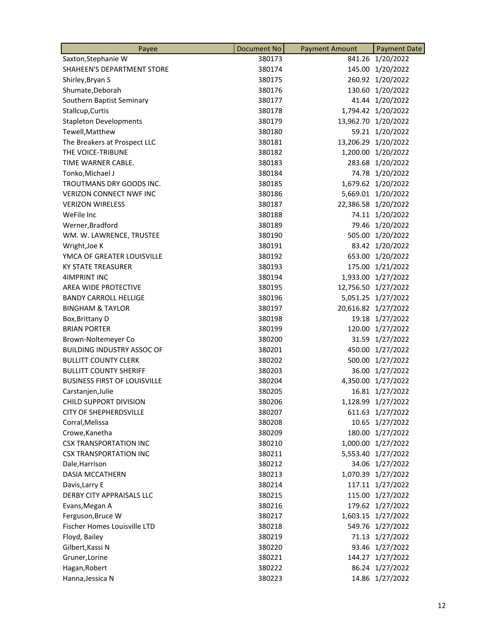| Payee                               | <b>Document No</b> | <b>Payment Amount</b> | <b>Payment Date</b> |
|-------------------------------------|--------------------|-----------------------|---------------------|
| Saxton, Stephanie W                 | 380173             | 841.26                | 1/20/2022           |
| <b>SHAHEEN'S DEPARTMENT STORE</b>   | 380174             |                       | 145.00 1/20/2022    |
| Shirley, Bryan S                    | 380175             |                       | 260.92 1/20/2022    |
| Shumate, Deborah                    | 380176             |                       | 130.60 1/20/2022    |
| Southern Baptist Seminary           | 380177             |                       | 41.44 1/20/2022     |
| Stallcup, Curtis                    | 380178             |                       | 1,794.42 1/20/2022  |
| <b>Stapleton Developments</b>       | 380179             |                       | 13,962.70 1/20/2022 |
| Tewell, Matthew                     | 380180             |                       | 59.21 1/20/2022     |
| The Breakers at Prospect LLC        | 380181             |                       | 13,206.29 1/20/2022 |
| THE VOICE-TRIBUNE                   | 380182             |                       | 1,200.00 1/20/2022  |
| TIME WARNER CABLE.                  | 380183             |                       | 283.68 1/20/2022    |
| Tonko, Michael J                    | 380184             |                       | 74.78 1/20/2022     |
| <b>TROUTMANS DRY GOODS INC.</b>     | 380185             |                       | 1,679.62 1/20/2022  |
| <b>VERIZON CONNECT NWF INC</b>      | 380186             |                       | 5,669.01 1/20/2022  |
| <b>VERIZON WIRELESS</b>             | 380187             |                       | 22,386.58 1/20/2022 |
| WeFile Inc                          | 380188             |                       | 74.11 1/20/2022     |
| Werner, Bradford                    | 380189             |                       | 79.46 1/20/2022     |
| WM. W. LAWRENCE, TRUSTEE            | 380190             |                       | 505.00 1/20/2022    |
| Wright, Joe K                       | 380191             |                       | 83.42 1/20/2022     |
| YMCA OF GREATER LOUISVILLE          | 380192             |                       | 653.00 1/20/2022    |
| <b>KY STATE TREASURER</b>           | 380193             |                       | 175.00 1/21/2022    |
| 4IMPRINT INC                        | 380194             |                       | 1,933.00 1/27/2022  |
| AREA WIDE PROTECTIVE                | 380195             |                       | 12,756.50 1/27/2022 |
| <b>BANDY CARROLL HELLIGE</b>        | 380196             |                       | 5,051.25 1/27/2022  |
| <b>BINGHAM &amp; TAYLOR</b>         | 380197             |                       | 20,616.82 1/27/2022 |
| Box, Brittany D                     | 380198             |                       | 19.18 1/27/2022     |
| <b>BRIAN PORTER</b>                 | 380199             |                       | 120.00 1/27/2022    |
| Brown-Noltemeyer Co                 | 380200             |                       | 31.59 1/27/2022     |
| <b>BUILDING INDUSTRY ASSOC OF</b>   | 380201             |                       | 450.00 1/27/2022    |
| <b>BULLITT COUNTY CLERK</b>         | 380202             |                       | 500.00 1/27/2022    |
| <b>BULLITT COUNTY SHERIFF</b>       | 380203             |                       | 36.00 1/27/2022     |
| <b>BUSINESS FIRST OF LOUISVILLE</b> | 380204             |                       | 4,350.00 1/27/2022  |
| Carstanjen, Julie                   | 380205             |                       | 16.81 1/27/2022     |
| CHILD SUPPORT DIVISION              | 380206             |                       | 1,128.99 1/27/2022  |
| <b>CITY OF SHEPHERDSVILLE</b>       | 380207             |                       | 611.63 1/27/2022    |
| Corral, Melissa                     | 380208             |                       | 10.65 1/27/2022     |
| Crowe, Kanetha                      | 380209             |                       | 180.00 1/27/2022    |
| <b>CSX TRANSPORTATION INC</b>       | 380210             |                       | 1,000.00 1/27/2022  |
| <b>CSX TRANSPORTATION INC</b>       | 380211             |                       | 5,553.40 1/27/2022  |
| Dale, Harrison                      | 380212             |                       | 34.06 1/27/2022     |
| <b>DASIA MCCATHERN</b>              | 380213             |                       | 1,070.39 1/27/2022  |
| Davis, Larry E                      | 380214             |                       | 117.11 1/27/2022    |
| DERBY CITY APPRAISALS LLC           | 380215             |                       | 115.00 1/27/2022    |
| Evans, Megan A                      | 380216             |                       | 179.62 1/27/2022    |
| Ferguson, Bruce W                   | 380217             |                       | 1,603.15 1/27/2022  |
| Fischer Homes Louisville LTD        | 380218             |                       | 549.76 1/27/2022    |
| Floyd, Bailey                       | 380219             |                       | 71.13 1/27/2022     |
| Gilbert, Kassi N                    | 380220             |                       | 93.46 1/27/2022     |
| Gruner, Lorine                      | 380221             |                       | 144.27 1/27/2022    |
| Hagan, Robert                       | 380222             |                       | 86.24 1/27/2022     |
| Hanna, Jessica N                    | 380223             |                       | 14.86 1/27/2022     |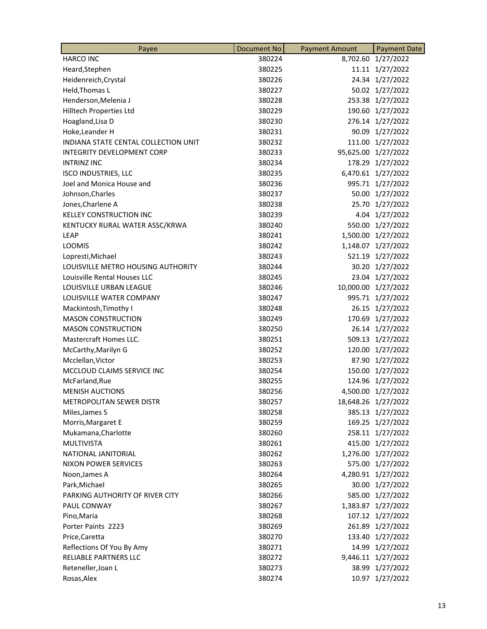| <b>HARCO INC</b><br>380224<br>1/27/2022<br>8,702.60<br>11.11 1/27/2022<br>Heard, Stephen<br>380225<br>380226<br>24.34 1/27/2022<br>Heidenreich, Crystal<br>Held, Thomas L<br>380227<br>50.02 1/27/2022<br>Henderson, Melenia J<br>253.38 1/27/2022<br>380228<br>Hilltech Properties Ltd<br>380229<br>190.60<br>1/27/2022<br>1/27/2022<br>Hoagland, Lisa D<br>380230<br>276.14<br>Hoke, Leander H<br>380231<br>90.09 1/27/2022<br>111.00 1/27/2022<br>INDIANA STATE CENTAL COLLECTION UNIT<br>380232<br>INTEGRITY DEVELOPMENT CORP<br>380233<br>95,625.00 1/27/2022<br>178.29 1/27/2022<br><b>INTRINZ INC</b><br>380234<br>380235<br>6,470.61 1/27/2022<br><b>ISCO INDUSTRIES, LLC</b><br>Joel and Monica House and<br>380236<br>995.71 1/27/2022<br>Johnson, Charles<br>380237<br>50.00 1/27/2022<br>380238<br>25.70 1/27/2022<br>Jones, Charlene A<br><b>KELLEY CONSTRUCTION INC</b><br>380239<br>4.04 1/27/2022<br>550.00 1/27/2022<br>380240<br>KENTUCKY RURAL WATER ASSC/KRWA<br>1/27/2022<br>LEAP<br>380241<br>1,500.00<br><b>LOOMIS</b><br>380242<br>1,148.07<br>1/27/2022<br>521.19 1/27/2022<br>380243<br>Lopresti, Michael<br>LOUISVILLE METRO HOUSING AUTHORITY<br>380244<br>30.20 1/27/2022<br>23.04 1/27/2022<br>Louisville Rental Houses LLC<br>380245<br>LOUISVILLE URBAN LEAGUE<br>380246<br>10,000.00 1/27/2022<br>LOUISVILLE WATER COMPANY<br>380247<br>995.71 1/27/2022<br>Mackintosh, Timothy I<br>380248<br>26.15 1/27/2022<br><b>MASON CONSTRUCTION</b><br>380249<br>170.69 1/27/2022<br>26.14 1/27/2022<br><b>MASON CONSTRUCTION</b><br>380250<br>509.13 1/27/2022<br>Mastercraft Homes LLC.<br>380251<br>380252<br>120.00 1/27/2022<br>McCarthy, Marilyn G<br>Mcclellan, Victor<br>380253<br>87.90 1/27/2022<br>150.00 1/27/2022<br>MCCLOUD CLAIMS SERVICE INC<br>380254<br>124.96 1/27/2022<br>McFarland, Rue<br>380255<br>4,500.00 1/27/2022<br><b>MENISH AUCTIONS</b><br>380256<br>METROPOLITAN SEWER DISTR<br>380257<br>18,648.26 1/27/2022<br>380258<br>385.13 1/27/2022<br>Miles, James S<br>Morris, Margaret E<br>380259<br>169.25 1/27/2022<br>Mukamana, Charlotte<br>258.11 1/27/2022<br>380260<br><b>MULTIVISTA</b><br>415.00 1/27/2022<br>380261<br>NATIONAL JANITORIAL<br>380262<br>1,276.00 1/27/2022<br>575.00 1/27/2022<br><b>NIXON POWER SERVICES</b><br>380263<br>380264<br>4,280.91 1/27/2022<br>Noon, James A<br>Park, Michael<br>380265<br>30.00 1/27/2022<br>PARKING AUTHORITY OF RIVER CITY<br>585.00 1/27/2022<br>380266<br>PAUL CONWAY<br>380267<br>1,383.87 1/27/2022<br>107.12 1/27/2022<br>Pino, Maria<br>380268<br>Porter Paints 2223<br>380269<br>261.89<br>1/27/2022<br>380270<br>133.40 1/27/2022<br>Price, Caretta<br>Reflections Of You By Amy<br>380271<br>14.99 1/27/2022<br>RELIABLE PARTNERS LLC<br>9,446.11 1/27/2022<br>380272<br>38.99 1/27/2022<br>Reteneller, Joan L<br>380273<br>Rosas, Alex<br>380274<br>1/27/2022<br>10.97 | Payee | Document No | <b>Payment Amount</b> | <b>Payment Date</b> |
|------------------------------------------------------------------------------------------------------------------------------------------------------------------------------------------------------------------------------------------------------------------------------------------------------------------------------------------------------------------------------------------------------------------------------------------------------------------------------------------------------------------------------------------------------------------------------------------------------------------------------------------------------------------------------------------------------------------------------------------------------------------------------------------------------------------------------------------------------------------------------------------------------------------------------------------------------------------------------------------------------------------------------------------------------------------------------------------------------------------------------------------------------------------------------------------------------------------------------------------------------------------------------------------------------------------------------------------------------------------------------------------------------------------------------------------------------------------------------------------------------------------------------------------------------------------------------------------------------------------------------------------------------------------------------------------------------------------------------------------------------------------------------------------------------------------------------------------------------------------------------------------------------------------------------------------------------------------------------------------------------------------------------------------------------------------------------------------------------------------------------------------------------------------------------------------------------------------------------------------------------------------------------------------------------------------------------------------------------------------------------------------------------------------------------------------------------------------------------------------------------------------------------------------------------------------------------------------------------------------------------------------------------------------------------------------------------------------------------------------------------------------------------------------------------------------------------------------------------------------------------------------------|-------|-------------|-----------------------|---------------------|
|                                                                                                                                                                                                                                                                                                                                                                                                                                                                                                                                                                                                                                                                                                                                                                                                                                                                                                                                                                                                                                                                                                                                                                                                                                                                                                                                                                                                                                                                                                                                                                                                                                                                                                                                                                                                                                                                                                                                                                                                                                                                                                                                                                                                                                                                                                                                                                                                                                                                                                                                                                                                                                                                                                                                                                                                                                                                                                |       |             |                       |                     |
|                                                                                                                                                                                                                                                                                                                                                                                                                                                                                                                                                                                                                                                                                                                                                                                                                                                                                                                                                                                                                                                                                                                                                                                                                                                                                                                                                                                                                                                                                                                                                                                                                                                                                                                                                                                                                                                                                                                                                                                                                                                                                                                                                                                                                                                                                                                                                                                                                                                                                                                                                                                                                                                                                                                                                                                                                                                                                                |       |             |                       |                     |
|                                                                                                                                                                                                                                                                                                                                                                                                                                                                                                                                                                                                                                                                                                                                                                                                                                                                                                                                                                                                                                                                                                                                                                                                                                                                                                                                                                                                                                                                                                                                                                                                                                                                                                                                                                                                                                                                                                                                                                                                                                                                                                                                                                                                                                                                                                                                                                                                                                                                                                                                                                                                                                                                                                                                                                                                                                                                                                |       |             |                       |                     |
|                                                                                                                                                                                                                                                                                                                                                                                                                                                                                                                                                                                                                                                                                                                                                                                                                                                                                                                                                                                                                                                                                                                                                                                                                                                                                                                                                                                                                                                                                                                                                                                                                                                                                                                                                                                                                                                                                                                                                                                                                                                                                                                                                                                                                                                                                                                                                                                                                                                                                                                                                                                                                                                                                                                                                                                                                                                                                                |       |             |                       |                     |
|                                                                                                                                                                                                                                                                                                                                                                                                                                                                                                                                                                                                                                                                                                                                                                                                                                                                                                                                                                                                                                                                                                                                                                                                                                                                                                                                                                                                                                                                                                                                                                                                                                                                                                                                                                                                                                                                                                                                                                                                                                                                                                                                                                                                                                                                                                                                                                                                                                                                                                                                                                                                                                                                                                                                                                                                                                                                                                |       |             |                       |                     |
|                                                                                                                                                                                                                                                                                                                                                                                                                                                                                                                                                                                                                                                                                                                                                                                                                                                                                                                                                                                                                                                                                                                                                                                                                                                                                                                                                                                                                                                                                                                                                                                                                                                                                                                                                                                                                                                                                                                                                                                                                                                                                                                                                                                                                                                                                                                                                                                                                                                                                                                                                                                                                                                                                                                                                                                                                                                                                                |       |             |                       |                     |
|                                                                                                                                                                                                                                                                                                                                                                                                                                                                                                                                                                                                                                                                                                                                                                                                                                                                                                                                                                                                                                                                                                                                                                                                                                                                                                                                                                                                                                                                                                                                                                                                                                                                                                                                                                                                                                                                                                                                                                                                                                                                                                                                                                                                                                                                                                                                                                                                                                                                                                                                                                                                                                                                                                                                                                                                                                                                                                |       |             |                       |                     |
|                                                                                                                                                                                                                                                                                                                                                                                                                                                                                                                                                                                                                                                                                                                                                                                                                                                                                                                                                                                                                                                                                                                                                                                                                                                                                                                                                                                                                                                                                                                                                                                                                                                                                                                                                                                                                                                                                                                                                                                                                                                                                                                                                                                                                                                                                                                                                                                                                                                                                                                                                                                                                                                                                                                                                                                                                                                                                                |       |             |                       |                     |
|                                                                                                                                                                                                                                                                                                                                                                                                                                                                                                                                                                                                                                                                                                                                                                                                                                                                                                                                                                                                                                                                                                                                                                                                                                                                                                                                                                                                                                                                                                                                                                                                                                                                                                                                                                                                                                                                                                                                                                                                                                                                                                                                                                                                                                                                                                                                                                                                                                                                                                                                                                                                                                                                                                                                                                                                                                                                                                |       |             |                       |                     |
|                                                                                                                                                                                                                                                                                                                                                                                                                                                                                                                                                                                                                                                                                                                                                                                                                                                                                                                                                                                                                                                                                                                                                                                                                                                                                                                                                                                                                                                                                                                                                                                                                                                                                                                                                                                                                                                                                                                                                                                                                                                                                                                                                                                                                                                                                                                                                                                                                                                                                                                                                                                                                                                                                                                                                                                                                                                                                                |       |             |                       |                     |
|                                                                                                                                                                                                                                                                                                                                                                                                                                                                                                                                                                                                                                                                                                                                                                                                                                                                                                                                                                                                                                                                                                                                                                                                                                                                                                                                                                                                                                                                                                                                                                                                                                                                                                                                                                                                                                                                                                                                                                                                                                                                                                                                                                                                                                                                                                                                                                                                                                                                                                                                                                                                                                                                                                                                                                                                                                                                                                |       |             |                       |                     |
|                                                                                                                                                                                                                                                                                                                                                                                                                                                                                                                                                                                                                                                                                                                                                                                                                                                                                                                                                                                                                                                                                                                                                                                                                                                                                                                                                                                                                                                                                                                                                                                                                                                                                                                                                                                                                                                                                                                                                                                                                                                                                                                                                                                                                                                                                                                                                                                                                                                                                                                                                                                                                                                                                                                                                                                                                                                                                                |       |             |                       |                     |
|                                                                                                                                                                                                                                                                                                                                                                                                                                                                                                                                                                                                                                                                                                                                                                                                                                                                                                                                                                                                                                                                                                                                                                                                                                                                                                                                                                                                                                                                                                                                                                                                                                                                                                                                                                                                                                                                                                                                                                                                                                                                                                                                                                                                                                                                                                                                                                                                                                                                                                                                                                                                                                                                                                                                                                                                                                                                                                |       |             |                       |                     |
|                                                                                                                                                                                                                                                                                                                                                                                                                                                                                                                                                                                                                                                                                                                                                                                                                                                                                                                                                                                                                                                                                                                                                                                                                                                                                                                                                                                                                                                                                                                                                                                                                                                                                                                                                                                                                                                                                                                                                                                                                                                                                                                                                                                                                                                                                                                                                                                                                                                                                                                                                                                                                                                                                                                                                                                                                                                                                                |       |             |                       |                     |
|                                                                                                                                                                                                                                                                                                                                                                                                                                                                                                                                                                                                                                                                                                                                                                                                                                                                                                                                                                                                                                                                                                                                                                                                                                                                                                                                                                                                                                                                                                                                                                                                                                                                                                                                                                                                                                                                                                                                                                                                                                                                                                                                                                                                                                                                                                                                                                                                                                                                                                                                                                                                                                                                                                                                                                                                                                                                                                |       |             |                       |                     |
|                                                                                                                                                                                                                                                                                                                                                                                                                                                                                                                                                                                                                                                                                                                                                                                                                                                                                                                                                                                                                                                                                                                                                                                                                                                                                                                                                                                                                                                                                                                                                                                                                                                                                                                                                                                                                                                                                                                                                                                                                                                                                                                                                                                                                                                                                                                                                                                                                                                                                                                                                                                                                                                                                                                                                                                                                                                                                                |       |             |                       |                     |
|                                                                                                                                                                                                                                                                                                                                                                                                                                                                                                                                                                                                                                                                                                                                                                                                                                                                                                                                                                                                                                                                                                                                                                                                                                                                                                                                                                                                                                                                                                                                                                                                                                                                                                                                                                                                                                                                                                                                                                                                                                                                                                                                                                                                                                                                                                                                                                                                                                                                                                                                                                                                                                                                                                                                                                                                                                                                                                |       |             |                       |                     |
|                                                                                                                                                                                                                                                                                                                                                                                                                                                                                                                                                                                                                                                                                                                                                                                                                                                                                                                                                                                                                                                                                                                                                                                                                                                                                                                                                                                                                                                                                                                                                                                                                                                                                                                                                                                                                                                                                                                                                                                                                                                                                                                                                                                                                                                                                                                                                                                                                                                                                                                                                                                                                                                                                                                                                                                                                                                                                                |       |             |                       |                     |
|                                                                                                                                                                                                                                                                                                                                                                                                                                                                                                                                                                                                                                                                                                                                                                                                                                                                                                                                                                                                                                                                                                                                                                                                                                                                                                                                                                                                                                                                                                                                                                                                                                                                                                                                                                                                                                                                                                                                                                                                                                                                                                                                                                                                                                                                                                                                                                                                                                                                                                                                                                                                                                                                                                                                                                                                                                                                                                |       |             |                       |                     |
|                                                                                                                                                                                                                                                                                                                                                                                                                                                                                                                                                                                                                                                                                                                                                                                                                                                                                                                                                                                                                                                                                                                                                                                                                                                                                                                                                                                                                                                                                                                                                                                                                                                                                                                                                                                                                                                                                                                                                                                                                                                                                                                                                                                                                                                                                                                                                                                                                                                                                                                                                                                                                                                                                                                                                                                                                                                                                                |       |             |                       |                     |
|                                                                                                                                                                                                                                                                                                                                                                                                                                                                                                                                                                                                                                                                                                                                                                                                                                                                                                                                                                                                                                                                                                                                                                                                                                                                                                                                                                                                                                                                                                                                                                                                                                                                                                                                                                                                                                                                                                                                                                                                                                                                                                                                                                                                                                                                                                                                                                                                                                                                                                                                                                                                                                                                                                                                                                                                                                                                                                |       |             |                       |                     |
|                                                                                                                                                                                                                                                                                                                                                                                                                                                                                                                                                                                                                                                                                                                                                                                                                                                                                                                                                                                                                                                                                                                                                                                                                                                                                                                                                                                                                                                                                                                                                                                                                                                                                                                                                                                                                                                                                                                                                                                                                                                                                                                                                                                                                                                                                                                                                                                                                                                                                                                                                                                                                                                                                                                                                                                                                                                                                                |       |             |                       |                     |
|                                                                                                                                                                                                                                                                                                                                                                                                                                                                                                                                                                                                                                                                                                                                                                                                                                                                                                                                                                                                                                                                                                                                                                                                                                                                                                                                                                                                                                                                                                                                                                                                                                                                                                                                                                                                                                                                                                                                                                                                                                                                                                                                                                                                                                                                                                                                                                                                                                                                                                                                                                                                                                                                                                                                                                                                                                                                                                |       |             |                       |                     |
|                                                                                                                                                                                                                                                                                                                                                                                                                                                                                                                                                                                                                                                                                                                                                                                                                                                                                                                                                                                                                                                                                                                                                                                                                                                                                                                                                                                                                                                                                                                                                                                                                                                                                                                                                                                                                                                                                                                                                                                                                                                                                                                                                                                                                                                                                                                                                                                                                                                                                                                                                                                                                                                                                                                                                                                                                                                                                                |       |             |                       |                     |
|                                                                                                                                                                                                                                                                                                                                                                                                                                                                                                                                                                                                                                                                                                                                                                                                                                                                                                                                                                                                                                                                                                                                                                                                                                                                                                                                                                                                                                                                                                                                                                                                                                                                                                                                                                                                                                                                                                                                                                                                                                                                                                                                                                                                                                                                                                                                                                                                                                                                                                                                                                                                                                                                                                                                                                                                                                                                                                |       |             |                       |                     |
|                                                                                                                                                                                                                                                                                                                                                                                                                                                                                                                                                                                                                                                                                                                                                                                                                                                                                                                                                                                                                                                                                                                                                                                                                                                                                                                                                                                                                                                                                                                                                                                                                                                                                                                                                                                                                                                                                                                                                                                                                                                                                                                                                                                                                                                                                                                                                                                                                                                                                                                                                                                                                                                                                                                                                                                                                                                                                                |       |             |                       |                     |
|                                                                                                                                                                                                                                                                                                                                                                                                                                                                                                                                                                                                                                                                                                                                                                                                                                                                                                                                                                                                                                                                                                                                                                                                                                                                                                                                                                                                                                                                                                                                                                                                                                                                                                                                                                                                                                                                                                                                                                                                                                                                                                                                                                                                                                                                                                                                                                                                                                                                                                                                                                                                                                                                                                                                                                                                                                                                                                |       |             |                       |                     |
|                                                                                                                                                                                                                                                                                                                                                                                                                                                                                                                                                                                                                                                                                                                                                                                                                                                                                                                                                                                                                                                                                                                                                                                                                                                                                                                                                                                                                                                                                                                                                                                                                                                                                                                                                                                                                                                                                                                                                                                                                                                                                                                                                                                                                                                                                                                                                                                                                                                                                                                                                                                                                                                                                                                                                                                                                                                                                                |       |             |                       |                     |
|                                                                                                                                                                                                                                                                                                                                                                                                                                                                                                                                                                                                                                                                                                                                                                                                                                                                                                                                                                                                                                                                                                                                                                                                                                                                                                                                                                                                                                                                                                                                                                                                                                                                                                                                                                                                                                                                                                                                                                                                                                                                                                                                                                                                                                                                                                                                                                                                                                                                                                                                                                                                                                                                                                                                                                                                                                                                                                |       |             |                       |                     |
|                                                                                                                                                                                                                                                                                                                                                                                                                                                                                                                                                                                                                                                                                                                                                                                                                                                                                                                                                                                                                                                                                                                                                                                                                                                                                                                                                                                                                                                                                                                                                                                                                                                                                                                                                                                                                                                                                                                                                                                                                                                                                                                                                                                                                                                                                                                                                                                                                                                                                                                                                                                                                                                                                                                                                                                                                                                                                                |       |             |                       |                     |
|                                                                                                                                                                                                                                                                                                                                                                                                                                                                                                                                                                                                                                                                                                                                                                                                                                                                                                                                                                                                                                                                                                                                                                                                                                                                                                                                                                                                                                                                                                                                                                                                                                                                                                                                                                                                                                                                                                                                                                                                                                                                                                                                                                                                                                                                                                                                                                                                                                                                                                                                                                                                                                                                                                                                                                                                                                                                                                |       |             |                       |                     |
|                                                                                                                                                                                                                                                                                                                                                                                                                                                                                                                                                                                                                                                                                                                                                                                                                                                                                                                                                                                                                                                                                                                                                                                                                                                                                                                                                                                                                                                                                                                                                                                                                                                                                                                                                                                                                                                                                                                                                                                                                                                                                                                                                                                                                                                                                                                                                                                                                                                                                                                                                                                                                                                                                                                                                                                                                                                                                                |       |             |                       |                     |
|                                                                                                                                                                                                                                                                                                                                                                                                                                                                                                                                                                                                                                                                                                                                                                                                                                                                                                                                                                                                                                                                                                                                                                                                                                                                                                                                                                                                                                                                                                                                                                                                                                                                                                                                                                                                                                                                                                                                                                                                                                                                                                                                                                                                                                                                                                                                                                                                                                                                                                                                                                                                                                                                                                                                                                                                                                                                                                |       |             |                       |                     |
|                                                                                                                                                                                                                                                                                                                                                                                                                                                                                                                                                                                                                                                                                                                                                                                                                                                                                                                                                                                                                                                                                                                                                                                                                                                                                                                                                                                                                                                                                                                                                                                                                                                                                                                                                                                                                                                                                                                                                                                                                                                                                                                                                                                                                                                                                                                                                                                                                                                                                                                                                                                                                                                                                                                                                                                                                                                                                                |       |             |                       |                     |
|                                                                                                                                                                                                                                                                                                                                                                                                                                                                                                                                                                                                                                                                                                                                                                                                                                                                                                                                                                                                                                                                                                                                                                                                                                                                                                                                                                                                                                                                                                                                                                                                                                                                                                                                                                                                                                                                                                                                                                                                                                                                                                                                                                                                                                                                                                                                                                                                                                                                                                                                                                                                                                                                                                                                                                                                                                                                                                |       |             |                       |                     |
|                                                                                                                                                                                                                                                                                                                                                                                                                                                                                                                                                                                                                                                                                                                                                                                                                                                                                                                                                                                                                                                                                                                                                                                                                                                                                                                                                                                                                                                                                                                                                                                                                                                                                                                                                                                                                                                                                                                                                                                                                                                                                                                                                                                                                                                                                                                                                                                                                                                                                                                                                                                                                                                                                                                                                                                                                                                                                                |       |             |                       |                     |
|                                                                                                                                                                                                                                                                                                                                                                                                                                                                                                                                                                                                                                                                                                                                                                                                                                                                                                                                                                                                                                                                                                                                                                                                                                                                                                                                                                                                                                                                                                                                                                                                                                                                                                                                                                                                                                                                                                                                                                                                                                                                                                                                                                                                                                                                                                                                                                                                                                                                                                                                                                                                                                                                                                                                                                                                                                                                                                |       |             |                       |                     |
|                                                                                                                                                                                                                                                                                                                                                                                                                                                                                                                                                                                                                                                                                                                                                                                                                                                                                                                                                                                                                                                                                                                                                                                                                                                                                                                                                                                                                                                                                                                                                                                                                                                                                                                                                                                                                                                                                                                                                                                                                                                                                                                                                                                                                                                                                                                                                                                                                                                                                                                                                                                                                                                                                                                                                                                                                                                                                                |       |             |                       |                     |
|                                                                                                                                                                                                                                                                                                                                                                                                                                                                                                                                                                                                                                                                                                                                                                                                                                                                                                                                                                                                                                                                                                                                                                                                                                                                                                                                                                                                                                                                                                                                                                                                                                                                                                                                                                                                                                                                                                                                                                                                                                                                                                                                                                                                                                                                                                                                                                                                                                                                                                                                                                                                                                                                                                                                                                                                                                                                                                |       |             |                       |                     |
|                                                                                                                                                                                                                                                                                                                                                                                                                                                                                                                                                                                                                                                                                                                                                                                                                                                                                                                                                                                                                                                                                                                                                                                                                                                                                                                                                                                                                                                                                                                                                                                                                                                                                                                                                                                                                                                                                                                                                                                                                                                                                                                                                                                                                                                                                                                                                                                                                                                                                                                                                                                                                                                                                                                                                                                                                                                                                                |       |             |                       |                     |
|                                                                                                                                                                                                                                                                                                                                                                                                                                                                                                                                                                                                                                                                                                                                                                                                                                                                                                                                                                                                                                                                                                                                                                                                                                                                                                                                                                                                                                                                                                                                                                                                                                                                                                                                                                                                                                                                                                                                                                                                                                                                                                                                                                                                                                                                                                                                                                                                                                                                                                                                                                                                                                                                                                                                                                                                                                                                                                |       |             |                       |                     |
|                                                                                                                                                                                                                                                                                                                                                                                                                                                                                                                                                                                                                                                                                                                                                                                                                                                                                                                                                                                                                                                                                                                                                                                                                                                                                                                                                                                                                                                                                                                                                                                                                                                                                                                                                                                                                                                                                                                                                                                                                                                                                                                                                                                                                                                                                                                                                                                                                                                                                                                                                                                                                                                                                                                                                                                                                                                                                                |       |             |                       |                     |
|                                                                                                                                                                                                                                                                                                                                                                                                                                                                                                                                                                                                                                                                                                                                                                                                                                                                                                                                                                                                                                                                                                                                                                                                                                                                                                                                                                                                                                                                                                                                                                                                                                                                                                                                                                                                                                                                                                                                                                                                                                                                                                                                                                                                                                                                                                                                                                                                                                                                                                                                                                                                                                                                                                                                                                                                                                                                                                |       |             |                       |                     |
|                                                                                                                                                                                                                                                                                                                                                                                                                                                                                                                                                                                                                                                                                                                                                                                                                                                                                                                                                                                                                                                                                                                                                                                                                                                                                                                                                                                                                                                                                                                                                                                                                                                                                                                                                                                                                                                                                                                                                                                                                                                                                                                                                                                                                                                                                                                                                                                                                                                                                                                                                                                                                                                                                                                                                                                                                                                                                                |       |             |                       |                     |
|                                                                                                                                                                                                                                                                                                                                                                                                                                                                                                                                                                                                                                                                                                                                                                                                                                                                                                                                                                                                                                                                                                                                                                                                                                                                                                                                                                                                                                                                                                                                                                                                                                                                                                                                                                                                                                                                                                                                                                                                                                                                                                                                                                                                                                                                                                                                                                                                                                                                                                                                                                                                                                                                                                                                                                                                                                                                                                |       |             |                       |                     |
|                                                                                                                                                                                                                                                                                                                                                                                                                                                                                                                                                                                                                                                                                                                                                                                                                                                                                                                                                                                                                                                                                                                                                                                                                                                                                                                                                                                                                                                                                                                                                                                                                                                                                                                                                                                                                                                                                                                                                                                                                                                                                                                                                                                                                                                                                                                                                                                                                                                                                                                                                                                                                                                                                                                                                                                                                                                                                                |       |             |                       |                     |
|                                                                                                                                                                                                                                                                                                                                                                                                                                                                                                                                                                                                                                                                                                                                                                                                                                                                                                                                                                                                                                                                                                                                                                                                                                                                                                                                                                                                                                                                                                                                                                                                                                                                                                                                                                                                                                                                                                                                                                                                                                                                                                                                                                                                                                                                                                                                                                                                                                                                                                                                                                                                                                                                                                                                                                                                                                                                                                |       |             |                       |                     |
|                                                                                                                                                                                                                                                                                                                                                                                                                                                                                                                                                                                                                                                                                                                                                                                                                                                                                                                                                                                                                                                                                                                                                                                                                                                                                                                                                                                                                                                                                                                                                                                                                                                                                                                                                                                                                                                                                                                                                                                                                                                                                                                                                                                                                                                                                                                                                                                                                                                                                                                                                                                                                                                                                                                                                                                                                                                                                                |       |             |                       |                     |
|                                                                                                                                                                                                                                                                                                                                                                                                                                                                                                                                                                                                                                                                                                                                                                                                                                                                                                                                                                                                                                                                                                                                                                                                                                                                                                                                                                                                                                                                                                                                                                                                                                                                                                                                                                                                                                                                                                                                                                                                                                                                                                                                                                                                                                                                                                                                                                                                                                                                                                                                                                                                                                                                                                                                                                                                                                                                                                |       |             |                       |                     |
|                                                                                                                                                                                                                                                                                                                                                                                                                                                                                                                                                                                                                                                                                                                                                                                                                                                                                                                                                                                                                                                                                                                                                                                                                                                                                                                                                                                                                                                                                                                                                                                                                                                                                                                                                                                                                                                                                                                                                                                                                                                                                                                                                                                                                                                                                                                                                                                                                                                                                                                                                                                                                                                                                                                                                                                                                                                                                                |       |             |                       |                     |
|                                                                                                                                                                                                                                                                                                                                                                                                                                                                                                                                                                                                                                                                                                                                                                                                                                                                                                                                                                                                                                                                                                                                                                                                                                                                                                                                                                                                                                                                                                                                                                                                                                                                                                                                                                                                                                                                                                                                                                                                                                                                                                                                                                                                                                                                                                                                                                                                                                                                                                                                                                                                                                                                                                                                                                                                                                                                                                |       |             |                       |                     |